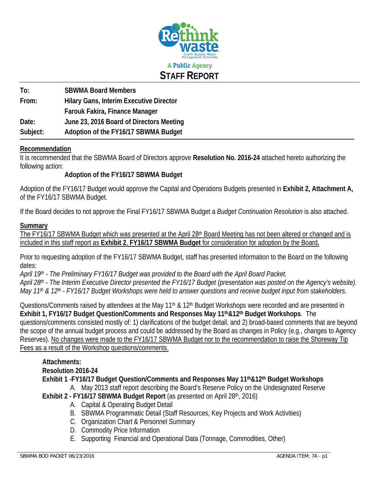

**To: SBWMA Board Members From: Hilary Gans, Interim Executive Director Farouk Fakira, Finance Manager Date: June 23, 2016 Board of Directors Meeting Subject: Adoption of the FY16/17 SBWMA Budget** 

## **Recommendation**

It is recommended that the SBWMA Board of Directors approve **Resolution No. 2016-24** attached hereto authorizing the following action:

# **Adoption of the FY16/17 SBWMA Budget**

Adoption of the FY16/17 Budget would approve the Capital and Operations Budgets presented in **Exhibit 2, Attachment A,**  of the FY16/17 SBWMA Budget.

If the Board decides to not approve the Final FY16/17 SBWMA Budget a *Budget Continuation Resolution* is also attached.

### **Summary**

The FY16/17 SBWMA Budget which was presented at the April 28<sup>th</sup> Board Meeting has not been altered or changed and is included in this staff report as **Exhibit 2**, **FY16/17 SBWMA Budget** for consideration for adoption by the Board**.**

Prior to requesting adoption of the FY16/17 SBWMA Budget, staff has presented information to the Board on the following dates:

*April 19th - The Preliminary FY16/17 Budget was provided to the Board with the April Board Packet. April 28th - The Interim Executive Director presented the FY16/17 Budget (presentation was posted on the Agency's website). May 11th & 12th - FY16/17 Budget Workshops were held to answer questions and receive budget input from stakeholders.* 

Questions/Comments raised by attendees at the May 11<sup>th</sup> & 12<sup>th</sup> Budget Workshops were recorded and are presented in **Exhibit 1, FY16/17 Budget Question/Comments and Responses May 11th&12th Budget Workshops**. The questions/comments consisted mostly of: 1) clarifications of the budget detail, and 2) broad-based comments that are beyond the scope of the annual budget process and could be addressed by the Board as changes in Policy (e.g., changes to Agency Reserves). No changes were made to the FY16/17 SBWMA Budget nor to the recommendation to raise the Shoreway Tip Fees as a result of the Workshop questions/comments.

# **Attachments:**

# **Resolution 2016-24**

**Exhibit 1 -FY16/17 Budget Question/Comments and Responses May 11th&12th Budget Workshops** 

A. May 2013 staff report describing the Board's Reserve Policy on the Undesignated Reserve

**Exhibit 2 - FY16/17 SBWMA Budget Report** (as presented on April 28th, 2016)

- A. Capital & Operating Budget Detail
- B. SBWMA Programmatic Detail (Staff Resources, Key Projects and Work Activities)
- C. Organization Chart & Personnel Summary
- D. Commodity Price Information
- E. Supporting Financial and Operational Data (Tonnage, Commodities, Other)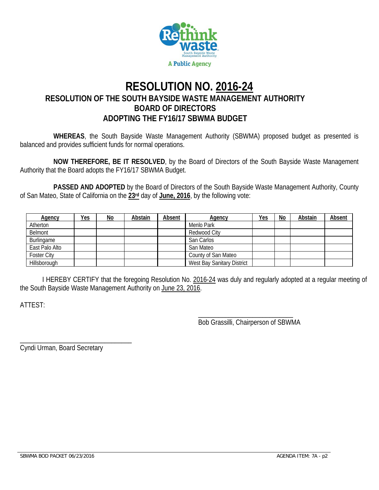

# **RESOLUTION NO. 2016-24 RESOLUTION OF THE SOUTH BAYSIDE WASTE MANAGEMENT AUTHORITY BOARD OF DIRECTORS ADOPTING THE FY16/17 SBWMA BUDGET**

**WHEREAS**, the South Bayside Waste Management Authority (SBWMA) proposed budget as presented is balanced and provides sufficient funds for normal operations.

**NOW THEREFORE, BE IT RESOLVED**, by the Board of Directors of the South Bayside Waste Management Authority that the Board adopts the FY16/17 SBWMA Budget.

 **PASSED AND ADOPTED** by the Board of Directors of the South Bayside Waste Management Authority, County of San Mateo, State of California on the **23rd** day of **June, 2016**, by the following vote:

| <b>Agency</b>      | <u>Yes</u> | <u>No</u> | Abstain | Absent | <b>Agency</b>              | <u>Yes</u> | No | Abstain | <b>Absent</b> |
|--------------------|------------|-----------|---------|--------|----------------------------|------------|----|---------|---------------|
| Atherton           |            |           |         |        | Menlo Park                 |            |    |         |               |
| Belmont            |            |           |         |        | Redwood City               |            |    |         |               |
| Burlingame         |            |           |         |        | San Carlos                 |            |    |         |               |
| East Palo Alto     |            |           |         |        | San Mateo                  |            |    |         |               |
| <b>Foster City</b> |            |           |         |        | County of San Mateo        |            |    |         |               |
| Hillsborough       |            |           |         |        | West Bay Sanitary District |            |    |         |               |

 I HEREBY CERTIFY that the foregoing Resolution No. 2016-24 was duly and regularly adopted at a regular meeting of the South Bayside Waste Management Authority on June 23, 2016.

 $\overline{\phantom{a}}$  , and the contract of the contract of the contract of the contract of the contract of the contract of the contract of the contract of the contract of the contract of the contract of the contract of the contrac

ATTEST:

Bob Grassilli, Chairperson of SBWMA

Cyndi Urman, Board Secretary

\_\_\_\_\_\_\_\_\_\_\_\_\_\_\_\_\_\_\_\_\_\_\_\_\_\_\_\_\_\_\_\_\_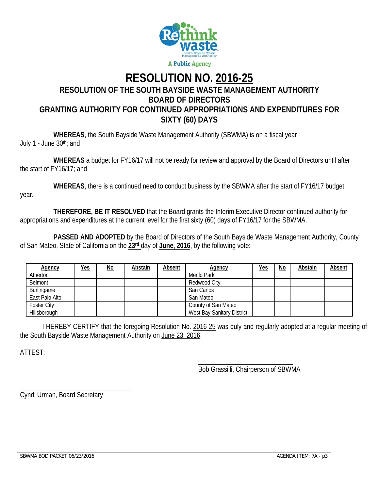

# **RESOLUTION NO. 2016-25 RESOLUTION OF THE SOUTH BAYSIDE WASTE MANAGEMENT AUTHORITY BOARD OF DIRECTORS GRANTING AUTHORITY FOR CONTINUED APPROPRIATIONS AND EXPENDITURES FOR SIXTY (60) DAYS**

 **WHEREAS**, the South Bayside Waste Management Authority (SBWMA) is on a fiscal year July 1 - June 30th; and

 **WHEREAS** a budget for FY16/17 will not be ready for review and approval by the Board of Directors until after the start of FY16/17; and

 **WHEREAS**, there is a continued need to conduct business by the SBWMA after the start of FY16/17 budget year.

 **THEREFORE, BE IT RESOLVED** that the Board grants the Interim Executive Director continued authority for appropriations and expenditures at the current level for the first sixty (60) days of FY16/17 for the SBWMA.

 **PASSED AND ADOPTED** by the Board of Directors of the South Bayside Waste Management Authority, County of San Mateo, State of California on the **23rd** day of **June, 2016**, by the following vote:

| <b>Agency</b>      | <u>Yes</u> | <u>No</u> | Abstain | Absent | <b>Agency</b>              | <u>Yes</u> | $\underline{\mathsf{No}}$ | Abstain | <b>Absent</b> |
|--------------------|------------|-----------|---------|--------|----------------------------|------------|---------------------------|---------|---------------|
| Atherton           |            |           |         |        | Menlo Park                 |            |                           |         |               |
| Belmont            |            |           |         |        | Redwood City               |            |                           |         |               |
| Burlingame         |            |           |         |        | San Carlos                 |            |                           |         |               |
| East Palo Alto     |            |           |         |        | San Mateo                  |            |                           |         |               |
| <b>Foster City</b> |            |           |         |        | County of San Mateo        |            |                           |         |               |
| Hillsborough       |            |           |         |        | West Bay Sanitary District |            |                           |         |               |

 I HEREBY CERTIFY that the foregoing Resolution No. 2016-25 was duly and regularly adopted at a regular meeting of the South Bayside Waste Management Authority on June 23, 2016.

ATTEST:

 $\overline{\phantom{a}}$  , and the contract of the contract of the contract of the contract of the contract of the contract of the contract of the contract of the contract of the contract of the contract of the contract of the contrac Bob Grassilli, Chairperson of SBWMA

\_\_\_\_\_\_\_\_\_\_\_\_\_\_\_\_\_\_\_\_\_\_\_\_\_\_\_\_\_\_\_\_\_ Cyndi Urman, Board Secretary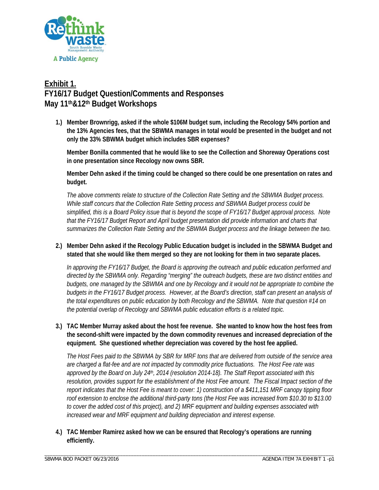

# **Exhibit 1. FY16/17 Budget Question/Comments and Responses May 11th&12th Budget Workshops**

**1.) Member Brownrigg, asked if the whole \$106M budget sum, including the Recology 54% portion and the 13% Agencies fees, that the SBWMA manages in total would be presented in the budget and not only the 33% SBWMA budget which includes SBR expenses?** 

**Member Bonilla commented that he would like to see the Collection and Shoreway Operations cost in one presentation since Recology now owns SBR.** 

**Member Dehn asked if the timing could be changed so there could be one presentation on rates and budget.** 

*The above comments relate to structure of the Collection Rate Setting and the SBWMA Budget process. While staff concurs that the Collection Rate Setting process and SBWMA Budget process could be simplified, this is a Board Policy issue that is beyond the scope of FY16/17 Budget approval process. Note that the FY16/17 Budget Report and April budget presentation did provide information and charts that summarizes the Collection Rate Setting and the SBWMA Budget process and the linkage between the two.* 

**2.) Member Dehn asked if the Recology Public Education budget is included in the SBWMA Budget and stated that she would like them merged so they are not looking for them in two separate places.** 

*In approving the FY16/17 Budget, the Board is approving the outreach and public education performed and directed by the SBWMA only. Regarding "merging" the outreach budgets, these are two distinct entities and budgets, one managed by the SBWMA and one by Recology and it would not be appropriate to combine the budgets in the FY16/17 Budget process. However, at the Board's direction, staff can present an analysis of the total expenditures on public education by both Recology and the SBWMA. Note that question #14 on the potential overlap of Recology and SBWMA public education efforts is a related topic.* 

**3.) TAC Member Murray asked about the host fee revenue. She wanted to know how the host fees from the second-shift were impacted by the down commodity revenues and increased depreciation of the equipment. She questioned whether depreciation was covered by the host fee applied.** 

*The Host Fees paid to the SBWMA by SBR for MRF tons that are delivered from outside of the service area are charged a flat-fee and are not impacted by commodity price fluctuations. The Host Fee rate was approved by the Board on July 24th, 2014 (resolution 2014-18). The Staff Report associated with this resolution, provides support for the establishment of the Host Fee amount. The Fiscal Impact section of the report indicates that the Host Fee is meant to cover: 1) construction of a \$411,151 MRF canopy tipping floor roof extension to enclose the additional third-party tons (the Host Fee was increased from \$10.30 to \$13.00 to cover the added cost of this project), and 2) MRF equipment and building expenses associated with increased wear and MRF equipment and building depreciation and interest expense.* 

**4.) TAC Member Ramirez asked how we can be ensured that Recology's operations are running efficiently.**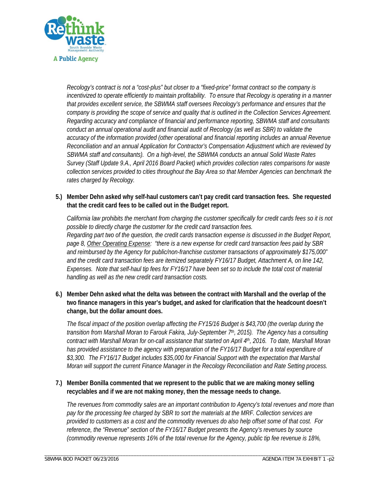

*Recology's contract is not a "cost-plus" but closer to a "fixed-price" format contract so the company is incentivized to operate efficiently to maintain profitability. To ensure that Recology is operating in a manner that provides excellent service, the SBWMA staff oversees Recology's performance and ensures that the company is providing the scope of service and quality that is outlined in the Collection Services Agreement. Regarding accuracy and compliance of financial and performance reporting, SBWMA staff and consultants conduct an annual operational audit and financial audit of Recology (as well as SBR) to validate the accuracy of the information provided (other operational and financial reporting includes an annual Revenue Reconciliation and an annual Application for Contractor's Compensation Adjustment which are reviewed by SBWMA staff and consultants). On a high-level, the SBWMA conducts an annual Solid Waste Rates Survey (Staff Update 9.A., April 2016 Board Packet) which provides collection rates comparisons for waste collection services provided to cities throughout the Bay Area so that Member Agencies can benchmark the rates charged by Recology.* 

**5.) Member Dehn asked why self-haul customers can't pay credit card transaction fees. She requested that the credit card fees to be called out in the Budget report.** 

*California law prohibits the merchant from charging the customer specifically for credit cards fees so it is not possible to directly charge the customer for the credit card transaction fees. Regarding part two of the question, the credit cards transaction expense is discussed in the Budget Report, page 8, Other Operating Expense: "there is a new expense for credit card transaction fees paid by SBR and reimbursed by the Agency for public/non-franchise customer transactions of approximately \$175,000" and the credit card transaction fees are itemized separately FY16/17 Budget, Attachment A, on line 142, Expenses. Note that self-haul tip fees for FY16/17 have been set so to include the total cost of material handling as well as the new credit card transaction costs.* 

**6.) Member Dehn asked what the delta was between the contract with Marshall and the overlap of the two finance managers in this year's budget, and asked for clarification that the headcount doesn't change, but the dollar amount does.** 

*The fiscal impact of the position overlap affecting the FY15/16 Budget is \$43,700 (the overlap during the transition from Marshall Moran to Farouk Fakira, July-September 7th, 2015). The Agency has a consulting contract with Marshall Moran for on-call assistance that started on April 4th, 2016. To date, Marshall Moran*  has provided assistance to the agency with preparation of the FY16/17 Budget for a total expenditure of *\$3,300. The FY16/17 Budget includes \$35,000 for Financial Support with the expectation that Marshal Moran will support the current Finance Manager in the Recology Reconciliation and Rate Setting process.* 

**7.) Member Bonilla commented that we represent to the public that we are making money selling recyclables and if we are not making money, then the message needs to change.** 

\_\_\_\_\_\_\_\_\_\_\_\_\_\_\_\_\_\_\_\_\_\_\_\_\_\_\_\_\_\_\_\_\_\_\_\_\_\_\_\_\_\_\_\_\_\_\_\_\_\_\_\_\_\_\_\_\_\_\_\_\_\_\_\_\_\_\_\_\_\_\_\_\_\_\_\_\_\_\_\_\_\_\_\_\_\_\_\_\_\_\_\_\_\_\_\_\_\_\_\_\_\_\_\_\_\_\_

*The revenues from commodity sales are an important contribution to Agency's total revenues and more than pay for the processing fee charged by SBR to sort the materials at the MRF. Collection services are provided to customers as a cost and the commodity revenues do also help offset some of that cost. For reference, the "Revenue" section of the FY16/17 Budget presents the Agency's revenues by source (commodity revenue represents 16% of the total revenue for the Agency, public tip fee revenue is 18%,*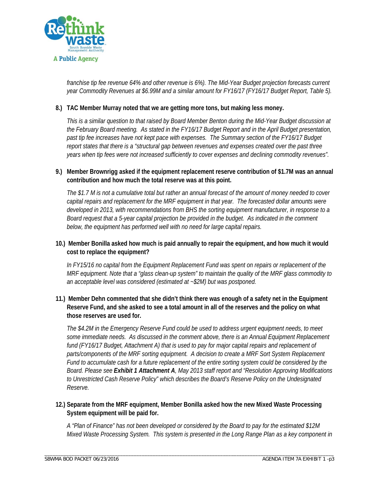

*franchise tip fee revenue 64% and other revenue is 6%). The Mid-Year Budget projection forecasts current year Commodity Revenues at \$6.99M and a similar amount for FY16/17 (FY16/17 Budget Report, Table 5).* 

### **8.) TAC Member Murray noted that we are getting more tons, but making less money.**

*This is a similar question to that raised by Board Member Benton during the Mid-Year Budget discussion at the February Board meeting. As stated in the FY16/17 Budget Report and in the April Budget presentation,*  past tip fee increases have not kept pace with expenses. The Summary section of the FY16/17 Budget *report states that there is a "structural gap between revenues and expenses created over the past three years when tip fees were not increased sufficiently to cover expenses and declining commodity revenues".* 

### **9.) Member Brownrigg asked if the equipment replacement reserve contribution of \$1.7M was an annual contribution and how much the total reserve was at this point.**

*The \$1.7 M is not a cumulative total but rather an annual forecast of the amount of money needed to cover capital repairs and replacement for the MRF equipment in that year. The forecasted dollar amounts were developed in 2013, with recommendations from BHS the sorting equipment manufacturer, in response to a Board request that a 5-year capital projection be provided in the budget. As indicated in the comment below, the equipment has performed well with no need for large capital repairs.* 

### **10.) Member Bonilla asked how much is paid annually to repair the equipment, and how much it would cost to replace the equipment?**

*In FY15/16 no capital from the Equipment Replacement Fund was spent on repairs or replacement of the MRF equipment. Note that a "glass clean-up system" to maintain the quality of the MRF glass commodity to an acceptable level was considered (estimated at ~\$2M) but was postponed.* 

### **11.) Member Dehn commented that she didn't think there was enough of a safety net in the Equipment Reserve Fund, and she asked to see a total amount in all of the reserves and the policy on what those reserves are used for.**

*The \$4.2M in the Emergency Reserve Fund could be used to address urgent equipment needs, to meet some immediate needs. As discussed in the comment above, there is an Annual Equipment Replacement*  fund (FY16/17 Budget, Attachment A) that is used to pay for major capital repairs and replacement of parts/components of the MRF sorting equipment. A decision to create a MRF Sort System Replacement *Fund to accumulate cash for a future replacement of the entire sorting system could be considered by the Board. Please see Exhibit 1 Attachment A, May 2013 staff report and "Resolution Approving Modifications to Unrestricted Cash Reserve Policy" which describes the Board's Reserve Policy on the Undesignated Reserve.* 

### **12.) Separate from the MRF equipment, Member Bonilla asked how the new Mixed Waste Processing System equipment will be paid for.**

\_\_\_\_\_\_\_\_\_\_\_\_\_\_\_\_\_\_\_\_\_\_\_\_\_\_\_\_\_\_\_\_\_\_\_\_\_\_\_\_\_\_\_\_\_\_\_\_\_\_\_\_\_\_\_\_\_\_\_\_\_\_\_\_\_\_\_\_\_\_\_\_\_\_\_\_\_\_\_\_\_\_\_\_\_\_\_\_\_\_\_\_\_\_\_\_\_\_\_\_\_\_\_\_\_\_\_

*A "Plan of Finance" has not been developed or considered by the Board to pay for the estimated \$12M Mixed Waste Processing System. This system is presented in the Long Range Plan as a key component in*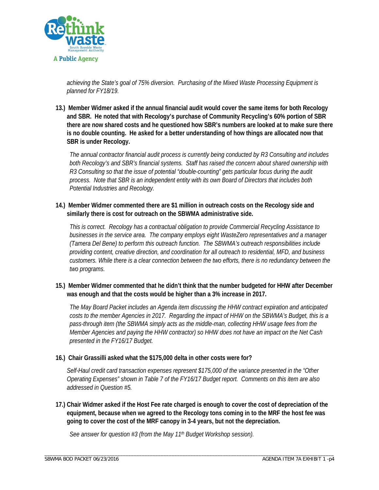

*achieving the State's goal of 75% diversion. Purchasing of the Mixed Waste Processing Equipment is planned for FY18/19.* 

**13.) Member Widmer asked if the annual financial audit would cover the same items for both Recology and SBR. He noted that with Recology's purchase of Community Recycling's 60% portion of SBR there are now shared costs and he questioned how SBR's numbers are looked at to make sure there is no double counting. He asked for a better understanding of how things are allocated now that SBR is under Recology.** 

*The annual contractor financial audit process is currently being conducted by R3 Consulting and includes both Recology's and SBR's financial systems. Staff has raised the concern about shared ownership with R3 Consulting so that the issue of potential "double-counting" gets particular focus during the audit process. Note that SBR is an independent entity with its own Board of Directors that includes both Potential Industries and Recology.* 

**14.) Member Widmer commented there are \$1 million in outreach costs on the Recology side and similarly there is cost for outreach on the SBWMA administrative side.** 

*This is correct. Recology has a contractual obligation to provide Commercial Recycling Assistance to businesses in the service area. The company employs eight WasteZero representatives and a manager (Tamera Del Bene) to perform this outreach function. The SBWMA's outreach responsibilities include providing content, creative direction, and coordination for all outreach to residential, MFD, and business customers. While there is a clear connection between the two efforts, there is no redundancy between the two programs.* 

**15.) Member Widmer commented that he didn't think that the number budgeted for HHW after December was enough and that the costs would be higher than a 3% increase in 2017.** 

*The May Board Packet includes an Agenda item discussing the HHW contract expiration and anticipated costs to the member Agencies in 2017. Regarding the impact of HHW on the SBWMA's Budget, this is a pass-through item (the SBWMA simply acts as the middle-man, collecting HHW usage fees from the Member Agencies and paying the HHW contractor) so HHW does not have an impact on the Net Cash presented in the FY16/17 Budget.* 

### **16.) Chair Grassilli asked what the \$175,000 delta in other costs were for?**

*Self-Haul credit card transaction expenses represent \$175,000 of the variance presented in the "Other Operating Expenses" shown in Table 7 of the FY16/17 Budget report. Comments on this item are also addressed in Question #5.* 

**17.) Chair Widmer asked if the Host Fee rate charged is enough to cover the cost of depreciation of the equipment, because when we agreed to the Recology tons coming in to the MRF the host fee was going to cover the cost of the MRF canopy in 3-4 years, but not the depreciation.** 

\_\_\_\_\_\_\_\_\_\_\_\_\_\_\_\_\_\_\_\_\_\_\_\_\_\_\_\_\_\_\_\_\_\_\_\_\_\_\_\_\_\_\_\_\_\_\_\_\_\_\_\_\_\_\_\_\_\_\_\_\_\_\_\_\_\_\_\_\_\_\_\_\_\_\_\_\_\_\_\_\_\_\_\_\_\_\_\_\_\_\_\_\_\_\_\_\_\_\_\_\_\_\_\_\_\_\_

*See answer for question #3 (from the May 11th Budget Workshop session).*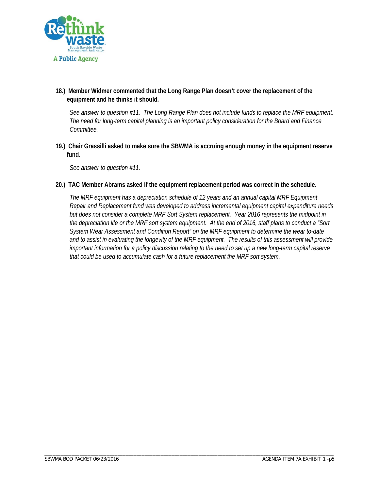

**18.) Member Widmer commented that the Long Range Plan doesn't cover the replacement of the equipment and he thinks it should.** 

*See answer to question #11. The Long Range Plan does not include funds to replace the MRF equipment. The need for long-term capital planning is an important policy consideration for the Board and Finance Committee.* 

**19.) Chair Grassilli asked to make sure the SBWMA is accruing enough money in the equipment reserve fund.** 

*See answer to question #11.* 

**20.) TAC Member Abrams asked if the equipment replacement period was correct in the schedule.** 

\_\_\_\_\_\_\_\_\_\_\_\_\_\_\_\_\_\_\_\_\_\_\_\_\_\_\_\_\_\_\_\_\_\_\_\_\_\_\_\_\_\_\_\_\_\_\_\_\_\_\_\_\_\_\_\_\_\_\_\_\_\_\_\_\_\_\_\_\_\_\_\_\_\_\_\_\_\_\_\_\_\_\_\_\_\_\_\_\_\_\_\_\_\_\_\_\_\_\_\_\_\_\_\_\_\_\_

*The MRF equipment has a depreciation schedule of 12 years and an annual capital MRF Equipment Repair and Replacement fund was developed to address incremental equipment capital expenditure needs but does not consider a complete MRF Sort System replacement. Year 2016 represents the midpoint in the depreciation life or the MRF sort system equipment. At the end of 2016, staff plans to conduct a "Sort System Wear Assessment and Condition Report" on the MRF equipment to determine the wear to-date and to assist in evaluating the longevity of the MRF equipment. The results of this assessment will provide important information for a policy discussion relating to the need to set up a new long-term capital reserve that could be used to accumulate cash for a future replacement the MRF sort system.*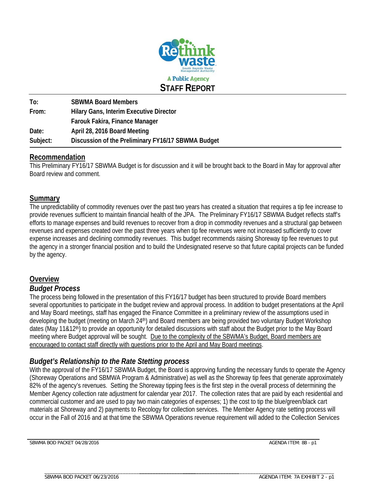

**To: SBWMA Board Members From: Hilary Gans, Interim Executive Director Farouk Fakira, Finance Manager Date: April 28, 2016 Board Meeting Subject: Discussion of the Preliminary FY16/17 SBWMA Budget** 

# **Recommendation**

This Preliminary FY16/17 SBWMA Budget is for discussion and it will be brought back to the Board in May for approval after Board review and comment.

# **Summary**

The unpredictability of commodity revenues over the past two years has created a situation that requires a tip fee increase to provide revenues sufficient to maintain financial health of the JPA. The Preliminary FY16/17 SBWMA Budget reflects staff's efforts to manage expenses and build revenues to recover from a drop in commodity revenues and a structural gap between revenues and expenses created over the past three years when tip fee revenues were not increased sufficiently to cover expense increases and declining commodity revenues. This budget recommends raising Shoreway tip fee revenues to put the agency in a stronger financial position and to build the Undesignated reserve so that future capital projects can be funded by the agency.

# **Overview**

# *Budget Process*

The process being followed in the presentation of this FY16/17 budget has been structured to provide Board members several opportunities to participate in the budget review and approval process. In addition to budget presentations at the April and May Board meetings, staff has engaged the Finance Committee in a preliminary review of the assumptions used in developing the budget (meeting on March 24<sup>th</sup>) and Board members are being provided two voluntary Budget Workshop dates (May 11&12th) to provide an opportunity for detailed discussions with staff about the Budget prior to the May Board meeting where Budget approval will be sought. Due to the complexity of the SBWMA's Budget, Board members are encouraged to contact staff directly with questions prior to the April and May Board meetings.

# *Budget's Relationship to the Rate Stetting process*

\_\_\_\_\_\_\_\_\_\_\_\_\_\_\_\_\_\_\_\_\_\_\_\_\_\_\_\_\_\_\_\_\_\_\_\_\_\_\_\_\_\_\_\_\_\_\_\_\_\_\_\_\_\_\_\_

With the approval of the FY16/17 SBWMA Budget, the Board is approving funding the necessary funds to operate the Agency (Shoreway Operations and SBMWA Program & Administrative) as well as the Shoreway tip fees that generate approximately 82% of the agency's revenues. Setting the Shoreway tipping fees is the first step in the overall process of determining the Member Agency collection rate adjustment for calendar year 2017. The collection rates that are paid by each residential and commercial customer and are used to pay two main categories of expenses; 1) the cost to tip the blue/green/black cart materials at Shoreway and 2) payments to Recology for collection services. The Member Agency rate setting process will occur in the Fall of 2016 and at that time the SBWMA Operations revenue requirement will added to the Collection Services

SBWMA BOD PACKET 04/28/2016 AGENDA ITEM: 8B - p1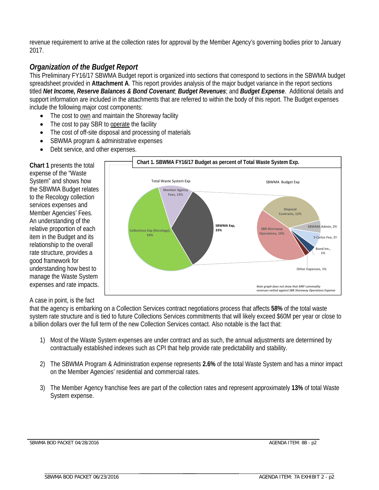revenue requirement to arrive at the collection rates for approval by the Member Agency's governing bodies prior to January 2017.

# *Organization of the Budget Report*

This Preliminary FY16/17 SBWMA Budget report is organized into sections that correspond to sections in the SBWMA budget spreadsheet provided in **Attachment A**. This report provides analysis of the major budget variance in the report sections titled *Net Income, Reserve Balances & Bond Covenant*; *Budget Revenues*; and *Budget Expense*. Additional details and support information are included in the attachments that are referred to within the body of this report. The Budget expenses include the following major cost components:

- The cost to own and maintain the Shoreway facility
- The cost to pay SBR to operate the facility
- The cost of off-site disposal and processing of materials
- SBWMA program & administrative expenses
- Debt service, and other expenses.

**Chart 1** presents the total expense of the "Waste System" and shows how the SBWMA Budget relates to the Recology collection services expenses and Member Agencies' Fees. An understanding of the relative proportion of each item in the Budget and its relationship to the overall rate structure, provides a good framework for understanding how best to manage the Waste System expenses and rate impacts.

### A case in point, is the fact

that the agency is embarking on a Collection Services contract negotiations process that affects **58%** of the total waste system rate structure and is tied to future Collections Services commitments that will likely exceed \$60M per year or close to a billion dollars over the full term of the new Collection Services contact. Also notable is the fact that:

- 1) Most of the Waste System expenses are under contract and as such, the annual adjustments are determined by contractually established indexes such as CPI that help provide rate predictability and stability.
- 2) The SBWMA Program & Administration expense represents **2.6%** of the total Waste System and has a minor impact on the Member Agencies' residential and commercial rates.
- 3) The Member Agency franchise fees are part of the collection rates and represent approximately **13%** of total Waste System expense.



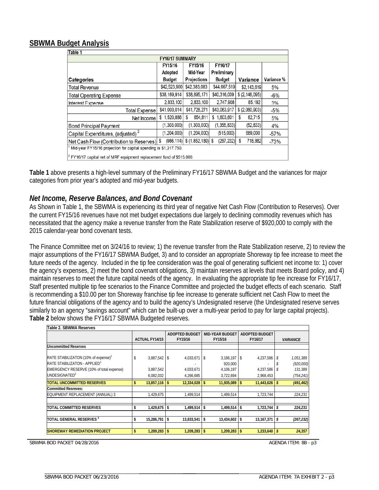# **SBWMA Budget Analysis**

| Table 1                                                                                              |               |              |               |                  |            |  |  |  |  |  |  |  |  |
|------------------------------------------------------------------------------------------------------|---------------|--------------|---------------|------------------|------------|--|--|--|--|--|--|--|--|
| <b>FY16/17 SUMMARY</b>                                                                               |               |              |               |                  |            |  |  |  |  |  |  |  |  |
| FY15/16<br>FY16/17<br>FY15/16                                                                        |               |              |               |                  |            |  |  |  |  |  |  |  |  |
|                                                                                                      | Adopted       | Mid-Year     | Preliminary   |                  |            |  |  |  |  |  |  |  |  |
| Categories                                                                                           | <b>Budget</b> | Projections  | <b>Budget</b> | Variance         | Variance % |  |  |  |  |  |  |  |  |
| <b>Total Revenue</b>                                                                                 | \$42,523,900  | \$42,383,083 | \$44,667,519  | \$2,143,619      | 5%         |  |  |  |  |  |  |  |  |
| <b>Total Operating Expense</b>                                                                       | \$38,169,914  | \$38,895,171 | \$40,316,009  | \$ (2, 146, 095) | $-6%$      |  |  |  |  |  |  |  |  |
| Interest Expense                                                                                     | 2,833,100     | 2,833,100    | 2,747,908     | 85,192           | 3%         |  |  |  |  |  |  |  |  |
| <b>Total Expense</b>                                                                                 | \$41,003,014  | \$41,728,271 | \$43,063,917  | \$ (2,060,903)   | $-5%$      |  |  |  |  |  |  |  |  |
| Net Income                                                                                           | \$1,520,886   | 654,811<br>S | \$1,603,601   | 82,715<br>\$     | 5%         |  |  |  |  |  |  |  |  |
| <b>Bond Principal Payment</b>                                                                        | (1,303,000)   | (1,303,000)  | (1,355,833)   | (52, 833)        | 4%         |  |  |  |  |  |  |  |  |
| Capital Expenditures, (adjusted) <sup>2</sup>                                                        | (1, 204, 000) | (1,204,000)  | (515,000)     | 689,000          | $-57%$     |  |  |  |  |  |  |  |  |
| \$<br>(986, 114)<br>(267, 232)<br>718,882<br>S<br>Net Cash Flow (Contribution to Reserves)<br>$-73%$ |               |              |               |                  |            |  |  |  |  |  |  |  |  |
| Mid-year FY15/16 projection for capital spending is \$1,317.750.                                     |               |              |               |                  |            |  |  |  |  |  |  |  |  |
| $ ^{2}$ FY16/17 capital net of MRF equipment replacement fund of \$515,000.                          |               |              |               |                  |            |  |  |  |  |  |  |  |  |

**Table 1** above presents a high-level summary of the Preliminary FY16/17 SBWMA Budget and the variances for major categories from prior year's adopted and mid-year budgets.

## *Net Income, Reserve Balances, and Bond Covenant*

As Shown in Table 1, the SBWMA is experiencing its third year of negative Net Cash Flow (Contribution to Reserves). Over the current FY15/16 revenues have not met budget expectations due largely to declining commodity revenues which has necessitated that the agency make a revenue transfer from the Rate Stabilization reserve of \$920,000 to comply with the 2015 calendar-year bond covenant tests.

The Finance Committee met on 3/24/16 to review; 1) the revenue transfer from the Rate Stabilization reserve, 2) to review the major assumptions of the FY16/17 SBWMA Budget, 3) and to consider an appropriate Shoreway tip fee increase to meet the future needs of the agency. Included in the tip fee consideration was the goal of generating sufficient net income to: 1) cover the agency's expenses, 2) meet the bond covenant obligations, 3) maintain reserves at levels that meets Board policy, and 4) maintain reserves to meet the future capital needs of the agency. In evaluating the appropriate tip fee increase for FY16/17, Staff presented multiple tip fee scenarios to the Finance Committee and projected the budget effects of each scenario. Staff is recommending a \$10.00 per ton Shoreway franchise tip fee increase to generate sufficient net Cash Flow to meet the future financial obligations of the agency and to build the agency's Undesignated reserve (the Undesignated reserve serves similarly to an agency "savings account" which can be built-up over a multi-year period to pay for large capital projects). **Table 2** below shows the FY16/17 SBWMA Budgeted reserves.

| Table 2. SBWMA Reserves                         |  |                       |    |                       |    |                        |         |                       |              |                        |
|-------------------------------------------------|--|-----------------------|----|-----------------------|----|------------------------|---------|-----------------------|--------------|------------------------|
|                                                 |  |                       |    | <b>ADOPTED BUDGET</b> |    | <b>MID-YEAR BUDGET</b> |         | <b>ADOPTED BUDGET</b> |              |                        |
|                                                 |  | <b>ACTUAL FY14/15</b> |    | FY15/16               |    | FY15/16                | FY16/17 |                       |              | <b><i>VARIANCE</i></b> |
| <b>Uncommitted Reserves</b>                     |  |                       |    |                       |    |                        |         |                       |              |                        |
|                                                 |  |                       |    |                       |    |                        |         |                       |              |                        |
| RATE STABILIZATON (10% of expense) <sup>1</sup> |  | $3,887,542$ \$        |    | 4,033,671             | \$ | $3,186,197$ \$         |         | 4,237,586             |              | 1,051,389              |
| RATE STABILIZATON - APPLIED <sup>1</sup>        |  |                       |    |                       |    | 920,000                |         |                       |              | (920,000)              |
| EMERGENCY RESERVE (10% of total expense)        |  | 3,887,542             |    | 4,033,671             |    | 4,106,197              |         | 4,237,586             |              | 131,389                |
| UNDESIGNATED <sup>2</sup>                       |  | 6,082,032             |    | 4,266,685             |    | 3,722,694              |         | 2,968,453             |              | (754, 241)             |
| <b>TOTAL UNCOMMITTED RESERVES</b>               |  | $13,857,116$ \$       |    | 12,334,028            |    | $11,935,089$ \$        |         | 11,443,626            |              | (491, 462)             |
| <b>Committed Resreves:</b>                      |  |                       |    |                       |    |                        |         |                       |              |                        |
| EQUIPMENT REPLACEMENT (ANNUAL) 3                |  | 1,429,675             |    | 1,499,514             |    | 1,499,514              |         | 1,723,744             |              | 224,231                |
|                                                 |  |                       |    |                       |    |                        |         |                       |              |                        |
| <b>TOTAL COMMITTED RESERVES</b>                 |  | 1,429,675             | -S | 1,499,514             | \$ | 1,499,514              | -S      | 1,723,744             | \$           | 224,231                |
|                                                 |  |                       |    |                       |    |                        |         |                       |              |                        |
| TOTAL GENERAL RESERVES <sup>4</sup>             |  | $15,286,791$ \$       |    | 13,833,541            | \$ | 13,434,602             | 5       | 13,167,371            | \$           | (267, 232)             |
|                                                 |  |                       |    |                       |    |                        |         |                       |              |                        |
| <b>SHOREWAY REMEDIATION PROJECT</b>             |  | $1,289,283$ \$        |    | 1,209,283             | \$ | 1,209,283              | -\$     | 1,233,640             | $\mathbf{s}$ | 24.357                 |

SBWMA BOD PACKET 04/28/2016 AGENDA ITEM: 8B - p3

\_\_\_\_\_\_\_\_\_\_\_\_\_\_\_\_\_\_\_\_\_\_\_\_\_\_\_\_\_\_\_\_\_\_\_\_\_\_\_\_\_\_\_\_\_\_\_\_\_\_\_\_\_\_\_\_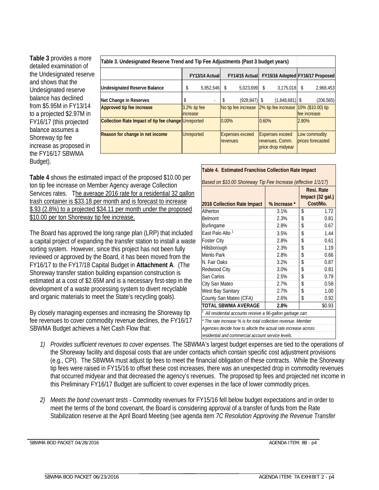**Table 3** provides a more detailed examination of the Undesignated reserve and shows that the Undesignated reserve balance has declined from \$5.95M in FY13/14 to a projected \$2.97M in FY16/17 (this projected balance assumes a Shoreway tip fee increase as proposed in the FY16/17 SBWMA Budget).

| Table 3. Undesignated Reserve Trend and Tip Fee Adjustments (Past 3 budget years) |                   |                        |          |                                    |       |                                                                 |              |                                    |
|-----------------------------------------------------------------------------------|-------------------|------------------------|----------|------------------------------------|-------|-----------------------------------------------------------------|--------------|------------------------------------|
|                                                                                   |                   | <b>FY13/14 Actuall</b> |          | <b>FY14/15 Actuall</b>             |       | FY15/16 Adopted FY16/17 Proposed                                |              |                                    |
| Undesignated Reserve Balance                                                      | \$                | 5,952,546              | \$       | 5,023,699                          | S     | 3,175,018                                                       | \$           | 2,968,453                          |
| Net Change in Reserves                                                            | ъ                 | $\overline{a}$         | \$       | $(928, 847)$ \$                    |       | $(1,848,681)$ \$                                                |              | (206, 565)                         |
| <b>Approved tip fee increase</b>                                                  | increase          | 3.2% tip fee           |          | No tip fee increase                |       | 2% tip fee increase                                             | fee increase | 10% (\$10.00) tip                  |
| Collection Rate Impact of tip fee change Unreported                               |                   |                        | $0.00\%$ |                                    | 0.60% |                                                                 | 2.80%        |                                    |
| Reason for change in net income                                                   | <b>Unreported</b> |                        |          | <b>Expenses exceed</b><br>revenues |       | <b>Expenses exceed</b><br>revenues, Comm.<br>price drop midyear |              | Low commodity<br>prices forecasted |

**Table 4** shows the estimated impact of the proposed \$10.00 per ton tip fee increase on Member Agency average Collection Services rates. The average 2016 rate for a residential 32 gallon trash container is \$33.18 per month and is forecast to increase \$.93 (2.8%) to a projected \$34.11 per month under the proposed \$10.00 per ton Shoreway tip fee increase.

The Board has approved the long range plan (LRP) that included a capital project of expanding the transfer station to install a waste sorting system. However, since this project has not been fully reviewed or approved by the Board, it has been moved from the FY16/17 to the FY17/18 Capital Budget in **Attachment A**. (The Shoreway transfer station building expansion construction is estimated at a cost of \$2.65M and is a necessary first-step in the development of a waste processing system to divert recyclable and organic materials to meet the State's recycling goals).

By closely managing expenses and increasing the Shoreway tip fee revenues to cover commodity revenue declines, the FY16/17 SBWMA Budget achieves a Net Cash Flow that:

\_\_\_\_\_\_\_\_\_\_\_\_\_\_\_\_\_\_\_\_\_\_\_\_\_\_\_\_\_\_\_\_\_\_\_\_\_\_\_\_\_\_\_\_\_\_\_\_\_\_\_\_\_\_\_\_

| Table 4. Estimated Franchise Collection Rate Impact                     |              |    |                                |  |  |  |  |  |  |  |
|-------------------------------------------------------------------------|--------------|----|--------------------------------|--|--|--|--|--|--|--|
| Based on \$10.00 Shoreway Tip Fee Increase (effective 1/1/17)           |              |    |                                |  |  |  |  |  |  |  |
|                                                                         |              |    | Resi, Rate<br>Impact (32 gal.) |  |  |  |  |  |  |  |
| 2016 Collection Rate Impact                                             | % Increase * |    | Cost/Mo.                       |  |  |  |  |  |  |  |
| Atherton                                                                | 3.1%         | \$ | 1.72                           |  |  |  |  |  |  |  |
| Belmont                                                                 | 2.3%         | \$ | 0.81                           |  |  |  |  |  |  |  |
| Burlingame                                                              | 2.8%         | \$ | 0.67                           |  |  |  |  |  |  |  |
| East Palo Alto <sup>1</sup>                                             | 3.5%         | \$ | 1.44                           |  |  |  |  |  |  |  |
| \$<br>0.61<br><b>Foster City</b><br>2.8%                                |              |    |                                |  |  |  |  |  |  |  |
| Hillsborough                                                            | 1.19         |    |                                |  |  |  |  |  |  |  |
| Menlo Park                                                              | 2.8%         | \$ | 0.66                           |  |  |  |  |  |  |  |
| N. Fair Oaks                                                            | 3.2%         | \$ | 0.87                           |  |  |  |  |  |  |  |
| Redwood City                                                            | 3.0%         | \$ | 0.81                           |  |  |  |  |  |  |  |
| San Carlos                                                              | 2.5%         | \$ | 0.79                           |  |  |  |  |  |  |  |
| City San Mateo                                                          | 2.7%         | \$ | 0.58                           |  |  |  |  |  |  |  |
| West Bay Sanitary                                                       | 2.7%         | \$ | 1.00                           |  |  |  |  |  |  |  |
| County San Mateo (CFA)                                                  | 2.6%         | \$ | 0.92                           |  |  |  |  |  |  |  |
| TOTAL SBWMA AVERAGE<br>\$0.93<br>2.8%                                   |              |    |                                |  |  |  |  |  |  |  |
| <sup>1</sup> All residential accounts receive a 96-gallon garbage cart. |              |    |                                |  |  |  |  |  |  |  |
| * The rate increase % is for total collection revenue. Member           |              |    |                                |  |  |  |  |  |  |  |
| Agencies decide how to allocte the actual rate increase across          |              |    |                                |  |  |  |  |  |  |  |
| residential and commercial account service levels.                      |              |    |                                |  |  |  |  |  |  |  |

*1) Provides sufficient revenues to cover expenses*. The SBWMA's largest budget expenses are tied to the operations of the Shoreway facility and disposal costs that are under contacts which contain specific cost adjustment provisions (e.g., CPI). The SBWMA must adjust tip fees to meet the financial obligation of these contracts. While the Shoreway tip fees were raised in FY15/16 to offset these cost increases, there was an unexpected drop in commodity revenues that occurred midyear and that decreased the agency's revenues. The proposed tip fees and projected net income in this Preliminary FY16/17 Budget are sufficient to cover expenses in the face of lower commodity prices.

*2) Meets the bond covenant tests* - Commodity revenues for FY15/16 fell below budget expectations and in order to meet the terms of the bond covenant, the Board is considering approval of a transfer of funds from the Rate Stabilization reserve at the April Board Meeting (see agenda item *7C Resolution Approving the Revenue Transfer* 

SBWMA BOD PACKET 04/28/2016 AGENDA ITEM: 8B - p4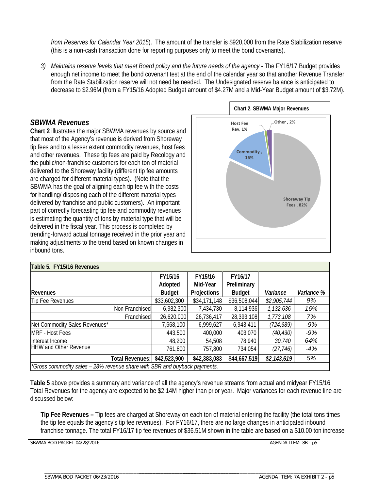*from Reserves for Calendar Year 2015*). The amount of the transfer is \$920,000 from the Rate Stabilization reserve (this is a non-cash transaction done for reporting purposes only to meet the bond covenants).

*3) Maintains reserve levels that meet Board policy and the future needs of the agency -* The FY16/17 Budget provides enough net income to meet the bond covenant test at the end of the calendar year so that another Revenue Transfer from the Rate Stabilization reserve will not need be needed. The Undesignated reserve balance is anticipated to decrease to \$2.96M (from a FY15/16 Adopted Budget amount of \$4.27M and a Mid-Year Budget amount of \$3.72M).

### *SBWMA Revenues*

**Chart 2** illustrates the major SBWMA revenues by source and that most of the Agency's revenue is derived from Shoreway tip fees and to a lesser extent commodity revenues, host fees and other revenues. These tip fees are paid by Recology and the public/non-franchise customers for each ton of material delivered to the Shoreway facility (different tip fee amounts are charged for different material types). (Note that the SBWMA has the goal of aligning each tip fee with the costs for handling/ disposing each of the different material types delivered by franchise and public customers). An important part of correctly forecasting tip fee and commodity revenues is estimating the quantity of tons by material type that will be delivered in the fiscal year. This process is completed by trending-forward actual tonnage received in the prior year and making adjustments to the trend based on known changes in inbound tons.



| Table 5. FY15/16 Revenues                                                 |               |              |               |             |            |
|---------------------------------------------------------------------------|---------------|--------------|---------------|-------------|------------|
|                                                                           | FY15/16       | FY15/16      | FY16/17       |             |            |
|                                                                           | Adopted       | Mid-Year     | Preliminary   |             |            |
| Revenues                                                                  | <b>Budget</b> | Projections  | <b>Budget</b> | Variance    | Variance % |
| Tip Fee Revenues                                                          | \$33,602,300  | \$34,171,148 | \$36,508,044  | \$2,905,744 | 9%         |
| Non Franchised                                                            | 6,982,300     | 7,434,730    | 8,114,936     | 1,132,636   | 16%        |
| Franchised                                                                | 26,620,000    | 26,736,417   | 28,393,108    | 1,773,108   | 7%         |
| Net Commodity Sales Revenues*                                             | 7,668,100     | 6,999,627    | 6,943,411     | (724, 689)  | $-9%$      |
| <b>MRF - Host Fees</b>                                                    | 443,500       | 400,000      | 403,070       | (40, 430)   | $-9%$      |
| Interest Income                                                           | 48,200        | 54,508       | 78,940        | 30,740      | 64%        |
| <b>HHW and Other Revenue</b>                                              | 761,800       | 757,800      | 734,054       | (27, 746)   | $-4%$      |
| <b>Total Revenues:</b>                                                    | \$42,523,900  | \$42,383,083 | \$44,667,519  | \$2,143,619 | 5%         |
| *Gross commodity sales - 28% revenue share with SBR and buyback payments. |               |              |               |             |            |

**Table 5** above provides a summary and variance of all the agency's revenue streams from actual and midyear FY15/16. Total Revenues for the agency are expected to be \$2.14M higher than prior year. Major variances for each revenue line are discussed below:

**Tip Fee Revenues –** Tip fees are charged at Shoreway on each ton of material entering the facility (the total tons times the tip fee equals the agency's tip fee revenues). For FY16/17, there are no large changes in anticipated inbound franchise tonnage. The total FY16/17 tip fee revenues of \$36.51M shown in the table are based on a \$10.00 ton increase

\_\_\_\_\_\_\_\_\_\_\_\_\_\_\_\_\_\_\_\_\_\_\_\_\_\_\_\_\_\_\_\_\_\_\_\_\_ \_\_\_\_\_\_\_\_\_\_\_\_\_\_\_\_\_\_\_\_\_\_\_\_\_\_\_\_\_\_\_\_\_\_\_\_\_\_\_\_\_\_\_\_\_\_\_\_\_\_\_\_\_\_\_\_

SBWMA BOD PACKET 04/28/2016 AGENDA ITEM: 8B - p5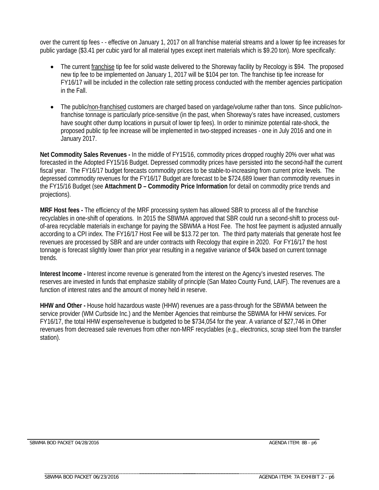over the current tip fees - - effective on January 1, 2017 on all franchise material streams and a lower tip fee increases for public yardage (\$3.41 per cubic yard for all material types except inert materials which is \$9.20 ton). More specifically:

- The current franchise tip fee for solid waste delivered to the Shoreway facility by Recology is \$94. The proposed new tip fee to be implemented on January 1, 2017 will be \$104 per ton. The franchise tip fee increase for FY16/17 will be included in the collection rate setting process conducted with the member agencies participation in the Fall.
- The public/non-franchised customers are charged based on yardage/volume rather than tons. Since public/nonfranchise tonnage is particularly price-sensitive (in the past, when Shoreway's rates have increased, customers have sought other dump locations in pursuit of lower tip fees). In order to minimize potential rate-shock, the proposed public tip fee increase will be implemented in two-stepped increases - one in July 2016 and one in January 2017.

**Net Commodity Sales Revenues -** In the middle of FY15/16, commodity prices dropped roughly 20% over what was forecasted in the Adopted FY15/16 Budget. Depressed commodity prices have persisted into the second-half the current fiscal year. The FY16/17 budget forecasts commodity prices to be stable-to-increasing from current price levels. The depressed commodity revenues for the FY16/17 Budget are forecast to be \$724,689 lower than commodity revenues in the FY15/16 Budget (see **Attachment D – Commodity Price Information** for detail on commodity price trends and projections).

**MRF Host fees -** The efficiency of the MRF processing system has allowed SBR to process all of the franchise recyclables in one-shift of operations. In 2015 the SBWMA approved that SBR could run a second-shift to process outof-area recyclable materials in exchange for paying the SBWMA a Host Fee. The host fee payment is adjusted annually according to a CPI index. The FY16/17 Host Fee will be \$13.72 per ton. The third party materials that generate host fee revenues are processed by SBR and are under contracts with Recology that expire in 2020. For FY16/17 the host tonnage is forecast slightly lower than prior year resulting in a negative variance of \$40k based on current tonnage trends.

**Interest Income -** Interest income revenue is generated from the interest on the Agency's invested reserves. The reserves are invested in funds that emphasize stability of principle (San Mateo County Fund, LAIF). The revenues are a function of interest rates and the amount of money held in reserve.

**HHW and Other -** House hold hazardous waste (HHW) revenues are a pass-through for the SBWMA between the service provider (WM Curbside Inc.) and the Member Agencies that reimburse the SBWMA for HHW services. For FY16/17, the total HHW expense/revenue is budgeted to be \$734,054 for the year. A variance of \$27,746 in Other revenues from decreased sale revenues from other non-MRF recyclables (e.g., electronics, scrap steel from the transfer station).

\_\_\_\_\_\_\_\_\_\_\_\_\_\_\_\_\_\_\_\_\_\_\_\_\_\_\_\_\_\_\_\_\_\_\_\_\_\_\_\_\_\_\_\_\_\_\_\_\_\_\_\_\_\_\_\_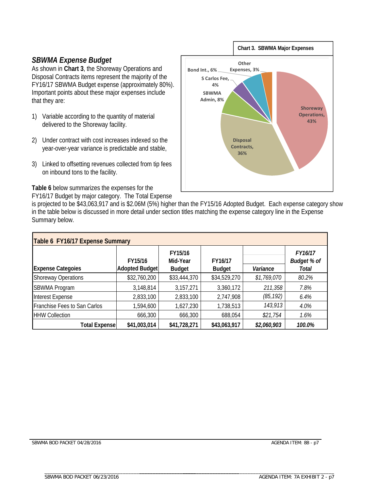# *SBWMA Expense Budget*

As shown in **Chart 3**, the Shoreway Operations and Disposal Contracts items represent the majority of the FY16/17 SBWMA Budget expense (approximately 80%). Important points about these major expenses include that they are:

- 1) Variable according to the quantity of material delivered to the Shoreway facility.
- 2) Under contract with cost increases indexed so the year-over-year variance is predictable and stable,
- 3) Linked to offsetting revenues collected from tip fees on inbound tons to the facility.

**Table 6** below summarizes the expenses for the

FY16/17 Budget by major category. The Total Expense



is projected to be \$43,063,917 and is \$2.06M (5%) higher than the FY15/16 Adopted Budget. Each expense category show in the table below is discussed in more detail under section titles matching the expense category line in the Expense Summary below.

| Table 6 FY16/17 Expense Summary |                |                     |               |             |                               |  |  |  |  |  |  |  |
|---------------------------------|----------------|---------------------|---------------|-------------|-------------------------------|--|--|--|--|--|--|--|
|                                 | FY15/16        | FY15/16<br>Mid-Year | FY16/17       |             | FY16/17<br><b>Budget % of</b> |  |  |  |  |  |  |  |
| <b>Expense Categoies</b>        | Adopted Budget | <b>Budget</b>       | <b>Budget</b> | Variance    | Total                         |  |  |  |  |  |  |  |
| <b>Shoreway Operations</b>      | \$32,760,200   | \$33,444,370        | \$34,529,270  | \$1,769,070 | 80.2%                         |  |  |  |  |  |  |  |
| <b>SBWMA Program</b>            | 3,148,814      | 3,157,271           | 3,360,172     | 211,358     | 7.8%                          |  |  |  |  |  |  |  |
| Interest Expense                | 2,833,100      | 2,833,100           | 2,747,908     | (85, 192)   | 6.4%                          |  |  |  |  |  |  |  |
| Franchise Fees to San Carlos    | 1,594,600      | 1,627,230           | 1,738,513     | 143,913     | 4.0%                          |  |  |  |  |  |  |  |
| <b>HHW Collection</b>           | 666,300        | 666,300             | 688,054       | \$21,754    | 1.6%                          |  |  |  |  |  |  |  |
| <b>Total Expense</b>            | \$41,003,014   | \$41,728,271        | \$43,063,917  | \$2,060,903 | 100.0%                        |  |  |  |  |  |  |  |

\_\_\_\_\_\_\_\_\_\_\_\_\_\_\_\_\_\_\_\_\_\_\_\_\_\_\_\_\_\_\_\_\_\_\_\_\_\_\_\_\_\_\_\_\_\_\_\_\_\_\_\_\_\_\_\_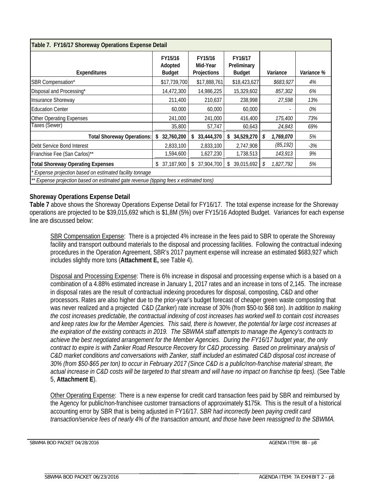| Table 7. FY16/17 Shoreway Operations Expense Detail                                                                           |                                     |                                    |                                         |                 |            |  |  |  |  |  |  |
|-------------------------------------------------------------------------------------------------------------------------------|-------------------------------------|------------------------------------|-----------------------------------------|-----------------|------------|--|--|--|--|--|--|
| <b>Expenditures</b>                                                                                                           | FY15/16<br>Adopted<br><b>Budget</b> | FY15/16<br>Mid-Year<br>Projections | FY16/17<br>Preliminary<br><b>Budget</b> | Variance        | Variance % |  |  |  |  |  |  |
| SBR Compensation*                                                                                                             | \$17,739,700                        | \$17,888,761                       | \$18,423,627                            | \$683,927       | 4%         |  |  |  |  |  |  |
| Disposal and Processing*                                                                                                      | 14,472,300                          | 14,986,225                         | 15,329,602                              | 857,302         | 6%         |  |  |  |  |  |  |
| Insurance Shoreway                                                                                                            | 211,400                             | 210,637                            | 238,998                                 | 27,598          | 13%        |  |  |  |  |  |  |
| <b>Education Center</b>                                                                                                       | 60,000                              | 60,000                             | 60,000                                  |                 | 0%         |  |  |  |  |  |  |
| Other Operating Expenses                                                                                                      | 241,000                             | 241,000                            | 416,400                                 | 175,400         | 73%        |  |  |  |  |  |  |
| Taxes (Sewer)                                                                                                                 | 35,800                              | 57,747                             | 60,643                                  | 24,843          | 69%        |  |  |  |  |  |  |
| <b>Total Shoreway Operations:</b>                                                                                             | 32,760,200<br>\$                    | 33,444,370<br>\$                   | 34,529,270<br>\$                        | 1,769,070<br>\$ | 5%         |  |  |  |  |  |  |
| Debt Service Bond Interest                                                                                                    | 2,833,100                           | 2,833,100                          | 2,747,908                               | (85, 192)       | -3%        |  |  |  |  |  |  |
| Franchise Fee (San Carlos)**                                                                                                  | 1,594,600                           | 1,627,230                          | 1,738,513                               | 143,913         | 9%         |  |  |  |  |  |  |
| 37,187,900<br><b>Total Shoreway Operating Expenses</b><br>37,904,700<br>39,015,692<br>1,827,792<br>5%<br>\$<br>\$<br>\$<br>\$ |                                     |                                    |                                         |                 |            |  |  |  |  |  |  |
| * Expense projection based on estimated facility tonnage                                                                      |                                     |                                    |                                         |                 |            |  |  |  |  |  |  |
| ** Expense projection based on estimated gate revenue (tipping fees x estimated tons)                                         |                                     |                                    |                                         |                 |            |  |  |  |  |  |  |

### **Shoreway Operations Expense Detail**

**Table 7** above shows the Shoreway Operations Expense Detail for FY16/17. The total expense increase for the Shoreway operations are projected to be \$39,015,692 which is \$1,8M (5%) over FY15/16 Adopted Budget. Variances for each expense line are discussed below:

SBR Compensation Expense: There is a projected 4% increase in the fees paid to SBR to operate the Shoreway facility and transport outbound materials to the disposal and processing facilities. Following the contractual indexing procedures in the Operation Agreement, SBR's 2017 payment expense will increase an estimated \$683,927 which includes slightly more tons (**Attachment E,** see Table 4).

Disposal and Processing Expense: There is 6% increase in disposal and processing expense which is a based on a combination of a 4.88% estimated increase in January 1, 2017 rates and an increase in tons of 2,145. The increase in disposal rates are the result of contractual indexing procedures for disposal, composting, C&D and other processors. Rates are also higher due to the prior-year's budget forecast of cheaper green waste composting that was never realized and a projected C&D (Zanker) rate increase of 30% (from \$50-to \$68 ton). *In addition to making the cost increases predictable, the contractual indexing of cost increases has worked well to contain cost increases and keep rates low for the Member Agencies. This said, there is however, the potential for large cost increases at the expiration of the existing contracts in 2019. The SBWMA staff attempts to manage the Agency's contracts to achieve the best negotiated arrangement for the Member Agencies. During the FY16/17 budget year, the only contract to expire is with Zanker Road Resource Recovery for C&D processing. Based on preliminary analysis of C&D market conditions and conversations with Zanker, staff included an estimated C&D disposal cost increase of 30% (from \$50-\$65 per ton) to occur in February 2017 (Since C&D is a public/non-franchise material stream, the actual increase in C&D costs will be targeted to that stream and will have no impact on franchise tip fees).* (See Table 5, **Attachment E**).

Other Operating Expense: There is a new expense for credit card transaction fees paid by SBR and reimbursed by the Agency for public/non-franchisee customer transactions of approximately \$175k. This is the result of a historical accounting error by SBR that is being adjusted in FY16/17. *SBR had incorrectly been paying credit card transaction/service fees of nearly 4% of the transaction amount, and those have been reassigned to the SBWMA.*

\_\_\_\_\_\_\_\_\_\_\_\_\_\_\_\_\_\_\_\_\_\_\_\_\_\_\_\_\_\_\_\_\_\_\_\_\_ \_\_\_\_\_\_\_\_\_\_\_\_\_\_\_\_\_\_\_\_\_\_\_\_\_\_\_\_\_\_\_\_\_\_\_\_\_\_\_\_\_\_\_\_\_\_\_\_\_\_\_\_\_\_\_\_

SBWMA BOD PACKET 04/28/2016 AGENDA ITEM: 8B - p8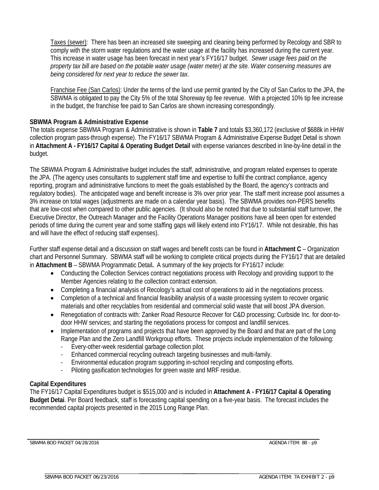Taxes (sewer): There has been an increased site sweeping and cleaning being performed by Recology and SBR to comply with the storm water regulations and the water usage at the facility has increased during the current year. This increase in water usage has been forecast in next year's FY16/17 budget. *Sewer usage fees paid on the property tax bill are based on the potable water usage (water meter) at the site. Water conserving measures are being considered for next year to reduce the sewer tax.*

Franchise Fee (San Carlos): Under the terms of the land use permit granted by the City of San Carlos to the JPA, the SBWMA is obligated to pay the City 5% of the total Shoreway tip fee revenue. With a projected 10% tip fee increase in the budget, the franchise fee paid to San Carlos are shown increasing correspondingly.

### **SBWMA Program & Administrative Expense**

The totals expense SBWMA Program & Administrative is shown in **Table 7** and totals \$3,360,172 (exclusive of \$688k in HHW collection program pass-through expense). The FY16/17 SBWMA Program & Administrative Expense Budget Detail is shown in **Attachment A - FY16/17 Capital & Operating Budget Detail** with expense variances described in line-by-line detail in the budget.

The SBWMA Program & Administrative budget includes the staff, administrative, and program related expenses to operate the JPA. (The agency uses consultants to supplement staff time and expertise to fulfil the contract compliance, agency reporting, program and administrative functions to meet the goals established by the Board, the agency's contracts and regulatory bodies). The anticipated wage and benefit increase is 3% over prior year. The staff merit increase pool assumes a 3% increase on total wages (adjustments are made on a calendar year basis). The SBWMA provides non-PERS benefits that are low-cost when compared to other public agencies. (It should also be noted that due to substantial staff turnover, the Executive Director, the Outreach Manager and the Facility Operations Manager positions have all been open for extended periods of time during the current year and some staffing gaps will likely extend into FY16/17. While not desirable, this has and will have the effect of reducing staff expenses).

Further staff expense detail and a discussion on staff wages and benefit costs can be found in **Attachment C** – Organization chart and Personnel Summary. SBWMA staff will be working to complete critical projects during the FY16/17 that are detailed in **Attachment B** – SBWMA Programmatic Detail**.** A summary of the key projects for FY16/17 include:

- Conducting the Collection Services contract negotiations process with Recology and providing support to the Member Agencies relating to the collection contract extension.
- Completing a financial analysis of Recology's actual cost of operations to aid in the negotiations process.
- Completion of a technical and financial feasibility analysis of a waste processing system to recover organic materials and other recyclables from residential and commercial solid waste that will boost JPA diversion.
- Renegotiation of contracts with: Zanker Road Resource Recover for C&D processing; Curbside Inc. for door-todoor HHW services; and starting the negotiations process for compost and landfill services.
- Implementation of programs and projects that have been approved by the Board and that are part of the Long Range Plan and the Zero Landfill Workgroup efforts. These projects include implementation of the following:
	- Every-other-week residential garbage collection pilot.

\_\_\_\_\_\_\_\_\_\_\_\_\_\_\_\_\_\_\_\_\_\_\_\_\_\_\_\_\_\_\_\_\_\_\_\_\_\_\_\_\_\_\_\_\_\_\_\_\_\_\_\_\_\_\_\_

- Enhanced commercial recycling outreach targeting businesses and multi-family.
- Environmental education program supporting in-school recycling and composting efforts.
- Piloting gasification technologies for green waste and MRF residue.

### **Capital Expenditures**

The FY16/17 Capital Expenditures budget is \$515,000 and is included in **Attachment A - FY16/17 Capital & Operating Budget Detai**. Per Board feedback, staff is forecasting capital spending on a five-year basis. The forecast includes the recommended capital projects presented in the 2015 Long Range Plan.

SBWMA BOD PACKET 04/28/2016 AGENDA ITEM: 8B - p9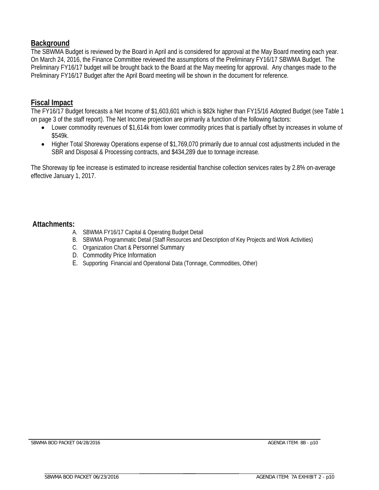# **Background**

The SBWMA Budget is reviewed by the Board in April and is considered for approval at the May Board meeting each year. On March 24, 2016, the Finance Committee reviewed the assumptions of the Preliminary FY16/17 SBWMA Budget. The Preliminary FY16/17 budget will be brought back to the Board at the May meeting for approval. Any changes made to the Preliminary FY16/17 Budget after the April Board meeting will be shown in the document for reference.

# **Fiscal Impact**

The FY16/17 Budget forecasts a Net Income of \$1,603,601 which is \$82k higher than FY15/16 Adopted Budget (see Table 1 on page 3 of the staff report). The Net Income projection are primarily a function of the following factors:

- Lower commodity revenues of \$1,614k from lower commodity prices that is partially offset by increases in volume of \$549k.
- Higher Total Shoreway Operations expense of \$1,769,070 primarily due to annual cost adjustments included in the SBR and Disposal & Processing contracts, and \$434,289 due to tonnage increase.

The Shoreway tip fee increase is estimated to increase residential franchise collection services rates by 2.8% on-average effective January 1, 2017.

# **Attachments:**

- A. SBWMA FY16/17 Capital & Operating Budget Detail
- B. SBWMA Programmatic Detail (Staff Resources and Description of Key Projects and Work Activities)
- C. Organization Chart & Personnel Summary
- D. Commodity Price Information
- E. Supporting Financial and Operational Data (Tonnage, Commodities, Other)

SBWMA BOD PACKET 04/28/2016 AGENDA ITEM: 8B - p10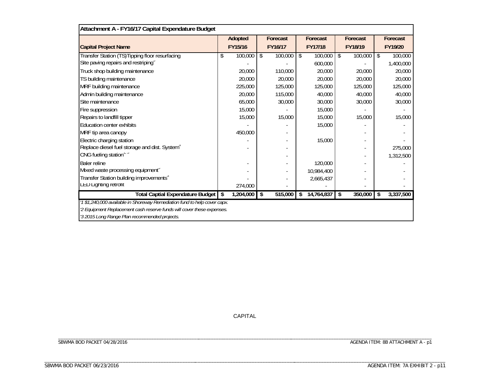| Attachment A - FY16/17 Capital Expendature Budget                         |                 |               |    |            |               |                 |
|---------------------------------------------------------------------------|-----------------|---------------|----|------------|---------------|-----------------|
|                                                                           | Adopted         | Forecast      |    | Forecast   | Forecast      | Forecast        |
| <b>Capital Project Name</b>                                               | FY15/16         | FY16/17       |    | FY17/18    | FY18/19       | FY19/20         |
| Transfer Station (TS)Tipping floor resurfacing                            | \$<br>100,000   | \$<br>100,000 | \$ | 100,000    | \$<br>100,000 | \$<br>100,000   |
| Site paving repairs and restriping                                        |                 |               |    | 600,000    |               | 1,400,000       |
| Truck shop building maintenance                                           | 20,000          | 110,000       |    | 20,000     | 20,000        | 20,000          |
| TS building maintenance                                                   | 20,000          | 20,000        |    | 20,000     | 20,000        | 20,000          |
| MRF building maintenance                                                  | 225,000         | 125,000       |    | 125,000    | 125,000       | 125,000         |
| Admin building maintenance                                                | 20,000          | 115,000       |    | 40,000     | 40,000        | 40,000          |
| Site maintenance                                                          | 65,000          | 30,000        |    | 30,000     | 30,000        | 30,000          |
| Fire suppression                                                          | 15,000          |               |    | 15,000     |               |                 |
| Repairs to landfill tipper                                                | 15,000          | 15,000        |    | 15,000     | 15,000        | 15,000          |
| <b>Education center exhibits</b>                                          |                 |               |    | 15,000     |               |                 |
| MRF tip area canopy                                                       | 450,000         |               |    |            |               |                 |
| Electric charging station                                                 |                 |               |    | 15,000     |               |                 |
| Replace diesel fuel storage and dist. System"                             |                 |               |    |            |               | 275,000         |
| CNG fueling station"                                                      |                 |               |    |            |               | 1,312,500       |
| <b>Baler reline</b>                                                       |                 |               |    | 120,000    |               |                 |
| Mixed waste processing equipment"                                         |                 |               |    | 10,984,400 |               |                 |
| Transfer Station building improvements"                                   |                 |               |    | 2,665,437  |               |                 |
| LED Lignung retront                                                       | 274,000         |               |    |            |               |                 |
| <b>Total Captial Expendature Budget</b>                                   | \$<br>1,204,000 | \$<br>515,000 | S  | 14,764,837 | \$<br>350,000 | \$<br>3,337,500 |
| '1 \$1,240,000 available in Shoreway Remediation fund to help cover capx. |                 |               |    |            |               |                 |
| '2 Equipment Replacement cash reserve funds will cover these expenses.    |                 |               |    |            |               |                 |
| '3 2015 Long Range Plan recommended projects.                             |                 |               |    |            |               |                 |

CAPITAL

\_\_\_\_\_\_\_\_\_\_\_\_\_\_\_\_\_\_\_\_\_\_\_\_\_\_\_\_\_\_\_\_\_\_\_\_\_\_\_\_\_\_\_\_\_\_\_\_\_\_\_\_\_\_\_\_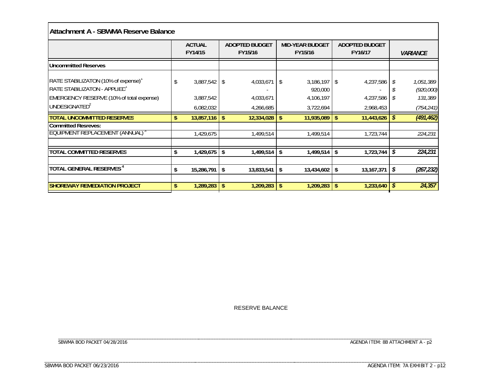# **Attachment A - SBWMA Reserve Balance**

|                                                                                                                                              |    | <b>ACTUAL</b><br>FY14/15                 |     | <b>ADOPTED BUDGET</b><br>FY15/16         |     | <b>MID-YEAR BUDGET</b><br>FY15/16                   | <b>ADOPTED BUDGET</b><br>FY16/17 |                                     |    | <i><b>VARIANCE</b></i>                          |
|----------------------------------------------------------------------------------------------------------------------------------------------|----|------------------------------------------|-----|------------------------------------------|-----|-----------------------------------------------------|----------------------------------|-------------------------------------|----|-------------------------------------------------|
| <b>Uncommitted Reserves</b>                                                                                                                  |    |                                          |     |                                          |     |                                                     |                                  |                                     |    |                                                 |
| RATE STABILIZATON (10% of expense)'<br>RATE STABILIZATON - APPLIED'<br>EMERGENCY RESERVE (10% of total expense)<br>UNDESIGNATED <sup>2</sup> | S  | $3,887,542$ \$<br>3,887,542<br>6,082,032 |     | $4,033,671$ \$<br>4,033,671<br>4,266,685 |     | $3,186,197$ \$<br>920,000<br>4,106,197<br>3,722,694 |                                  | 4,237,586<br>4,237,586<br>2,968,453 |    | 1,051,389<br>(920,000)<br>131,389<br>(754, 241) |
| <b>TOTAL UNCOMMITTED RESERVES</b>                                                                                                            | \$ | $13,857,116$ \$                          |     | 12,334,028                               | -\$ | 11,935,089                                          | \$.                              | 11,443,626                          | S  | (491, 462)                                      |
| <b>Committed Resreves:</b><br>EQUIPMENT REPLACEMENT (ANNUAL) <sup>3</sup>                                                                    |    | 1,429,675                                |     | 1,499,514                                |     | 1,499,514                                           |                                  | 1,723,744                           |    | 224,231                                         |
| <b>TOTAL COMMITTED RESERVES</b>                                                                                                              | \$ | 1,429,675                                | -\$ | 1,499,514                                | -\$ | 1,499,514                                           | \$                               | 1,723,744                           | \$ | 224,231                                         |
| TOTAL GENERAL RESERVES <sup>4</sup>                                                                                                          | \$ | 15,286,791                               | \$  | 13,833,541                               | -\$ | 13,434,602                                          | \$                               | 13, 167, 371                        | \$ | (267, 232)                                      |
| <b>SHOREWAY REMEDIATION PROJECT</b>                                                                                                          | \$ | 1,289,283                                | -\$ | 1,209,283                                | -\$ | 1,209,283                                           | s.                               | 1,233,640                           | S  | 24,357                                          |

RESERVE BALANCE

\_\_\_\_\_\_\_\_\_\_\_\_\_\_\_\_\_\_\_\_\_\_\_\_\_\_\_\_\_\_\_\_\_\_\_\_\_ \_\_\_\_\_\_\_\_\_\_\_\_\_\_\_\_\_\_\_\_\_\_\_\_\_\_\_\_\_\_\_\_\_\_\_\_\_\_\_\_\_\_\_\_\_\_\_\_\_\_\_\_\_\_\_\_

\_\_\_\_\_\_\_\_\_\_\_\_\_\_\_\_\_\_\_\_\_\_\_\_\_\_\_\_\_\_\_\_\_\_\_\_\_\_\_\_\_\_\_\_\_\_\_\_\_\_\_\_\_\_\_\_ SBWMA BOD PACKET 04/28/2016

\_\_\_\_\_\_\_\_\_\_\_\_\_\_\_\_\_\_\_\_\_\_\_\_\_\_\_\_\_\_\_\_\_\_\_\_\_\_\_\_\_\_\_\_\_\_\_\_\_\_\_\_\_\_\_\_

 $AGENDA$  ITEM: 8B ATTACHMENT A -  $p2$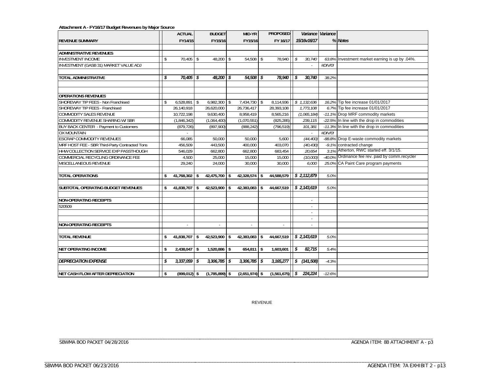#### **Attachment A - FY16/17 Budget Revenues by Major Source**

|                                                              |     | <b>ACTUAL</b>             |            | <b>BUDGET</b>    |          | MID-YR                     |      | <b>PROPOSED</b>         |               |                             | Variance Variance |                                                                    |
|--------------------------------------------------------------|-----|---------------------------|------------|------------------|----------|----------------------------|------|-------------------------|---------------|-----------------------------|-------------------|--------------------------------------------------------------------|
| <b>REVENUE SUMMARY</b>                                       |     | FY14/15                   |            | FY15/16          |          | FY15/16                    |      | FY 16/17                |               | 15/16v16/17                 |                   | % Notes                                                            |
|                                                              |     |                           |            |                  |          |                            |      |                         |               |                             |                   |                                                                    |
| <b>ADMINISTRATIVE REVENUES</b>                               |     |                           |            |                  |          |                            |      |                         |               |                             |                   |                                                                    |
| <b>INVESTMENT INCOME</b>                                     | \$  | 70,405                    | $\sqrt{3}$ | 48,200           | \$       | 54,508                     | \$   | 78,940                  | \$            | 30,740                      |                   | 63.8% Investment market earning is up by .04%.                     |
| <b>INVESTMENT (GASB 31) MARKET VALUE ADJ</b>                 |     |                           |            |                  |          |                            |      |                         |               |                             | #DIV/0!           |                                                                    |
|                                                              |     |                           |            |                  |          |                            |      |                         |               |                             |                   |                                                                    |
| <b>TOTAL ADMINISTRATIVE</b>                                  | \$  | 70,405                    | \$         | 48,200           | \$       | 54,508                     | - \$ | 78,940                  | l s           | 30.740                      | 38.2%             |                                                                    |
|                                                              |     |                           |            |                  |          |                            |      |                         |               |                             |                   |                                                                    |
| <b>OPERATIONS REVENUES</b>                                   |     |                           |            |                  |          |                            |      |                         |               |                             |                   |                                                                    |
| SHOREWAY TIP FEES - Non Franchised                           |     | 6,528,891 \$              |            | 6,982,300        |          |                            |      |                         |               |                             |                   | 16.2% Tip fee increase 01/01/2017                                  |
| SHOREWAY TIP FEES - Franchised                               |     | 26,140,918                |            | 26,620,000       | \$       | 7,434,730 \$<br>26,736,417 |      | 8,114,936<br>28,393,108 |               | \$1,132,636<br>1,773,108    |                   | 6.7% Tip fee increase 01/01/2017                                   |
| <b>COMMODITY SALES REVENUE</b>                               |     | 10,722,198                |            | 9,630,400        |          | 8,958,419                  |      | 8,565,216               |               | (1,065,184)                 |                   | -11.1% Drop MRF commodity markets                                  |
| COMMODITY REVENUE SHARING W/ SBR                             |     |                           |            | (1,064,400)      |          | (1,070,551)                |      | (825, 285)              |               | 239,115                     |                   | -22.5% In line with the drop in commodities                        |
|                                                              |     | (1,846,342)<br>(879, 726) |            | (897,900)        |          | (888, 242)                 |      | (796, 519)              |               | 101,381                     |                   | -11.3% In line with the drop in commodities                        |
| BUY BACK CENTER - Payment to Customers<br><b>OX MOUNTAIN</b> |     |                           |            |                  |          |                            |      |                         |               |                             | #DIV/0!           |                                                                    |
| <b>ESCRAP COMMODITY REVENUES</b>                             |     | 66,085                    |            | 50,000           |          | 50,000                     |      |                         |               |                             |                   |                                                                    |
| MRF HOST FEE - SBR Third-Party Contracted Tons               |     | 456.509                   |            |                  |          |                            |      | 5,600<br>403.070        |               | (44, 400)                   |                   | -88.8% Drop E-waste commodity markets                              |
| HHW COLLECTION SERVICE EXP PASSTHOUGH                        |     |                           |            | 443,500          |          | 400,000                    |      |                         |               | (40, 430)                   |                   | -9.1% contracted change<br>3.1% Atherton, RWC started eff. 3/1/15. |
| COMMERCIAL RECYCLING ORDINANCE FEE                           |     | 546,029                   |            | 662,800          |          | 662,800                    |      | 683,454                 |               | 20,654                      |                   | -40.0% Ordinance fee rev. paid by comm.recycler                    |
|                                                              |     | 4,500                     |            | 25,000           |          | 15,000                     |      | 15,000                  |               | (10,000)                    |                   |                                                                    |
| MISCELLANEOUS REVENUE                                        |     | 29,240                    |            | 24,000           |          | 30,000                     |      | 30,000                  |               | 6,000                       |                   | 25.0% CA Paint Care program payments                               |
|                                                              |     |                           |            |                  |          |                            |      |                         |               |                             |                   |                                                                    |
| <b>TOTAL OPERATIONS</b>                                      |     | 41,768,302                | -\$        | 42,475,700       | \$       | 42,328,574 \$              |      | 44,588,579              |               | $\frac{s}{2}$ , 2, 112, 879 | 5.0%              |                                                                    |
| SUBTOTAL OPERATING BUDGET REVENUES                           |     | 41,838,707                | -\$        | 42,523,900       | \$       | $42,383,083$ \$            |      | 44,667,519              |               | $\frac{1}{2}$ , 2, 143, 619 | 5.0%              |                                                                    |
|                                                              |     |                           |            |                  |          |                            |      |                         |               |                             |                   |                                                                    |
| <b>NON-OPERATING RECEIPTS</b>                                |     |                           |            |                  |          |                            |      |                         |               | $\sim$                      |                   |                                                                    |
| 520509                                                       |     |                           |            |                  |          |                            |      |                         |               | $\overline{\phantom{a}}$    |                   |                                                                    |
|                                                              |     |                           |            |                  |          |                            |      |                         |               | ×                           |                   |                                                                    |
|                                                              |     |                           |            |                  |          |                            |      |                         |               | $\sim$                      |                   |                                                                    |
| <b>NON-OPERATING RECEIPTS</b>                                |     | ×.                        |            |                  |          | ä,                         |      |                         |               |                             |                   |                                                                    |
|                                                              |     |                           |            |                  |          |                            |      |                         |               |                             |                   |                                                                    |
| <b>TOTAL REVENUE</b>                                         | \$. | 41,838,707                | \$         | 42,523,900       | \$       | $42,383,083$ \$            |      | 44,667,519              |               | \$2,143,619                 | 5.0%              |                                                                    |
|                                                              |     |                           |            |                  |          |                            |      |                         |               |                             |                   |                                                                    |
| <b>NET OPERATING INCOME</b>                                  |     | 2,438,047 \$              |            | 1,520,886        | <b>S</b> | $654,811$ \$               |      | 1,603,601               | $\mathcal{S}$ | 82,715                      | 5.4%              |                                                                    |
|                                                              |     |                           |            |                  |          |                            |      |                         |               |                             |                   |                                                                    |
| <b>DEPRECIATION EXPENSE</b>                                  | \$  | $3,337,059$ \$            |            | 3,306,785        | \$       | 3,306,785                  | \$   | 3,165,277               | $\sqrt{s}$    | (141, 508)                  | $-4.3%$           |                                                                    |
|                                                              |     |                           |            |                  |          |                            |      |                         |               |                             |                   |                                                                    |
| <b>NET CASH FLOW AFTER DEPRECIATION</b>                      | \$  | $(899, 012)$ \$           |            | $(1,785,899)$ \$ |          | $(2,651,974)$ \$           |      | $(1,561,675)$ \$        |               | 224,224                     | $-12.6%$          |                                                                    |

REVENUE

\_\_\_\_\_\_\_\_\_\_\_\_\_\_\_\_\_\_\_\_\_\_\_\_\_\_\_\_\_\_\_\_\_\_\_\_\_ \_\_\_\_\_\_\_\_\_\_\_\_\_\_\_\_\_\_\_\_\_\_\_\_\_\_\_\_\_\_\_\_\_\_\_\_\_\_\_\_\_\_\_\_\_\_\_\_\_\_\_\_\_\_\_\_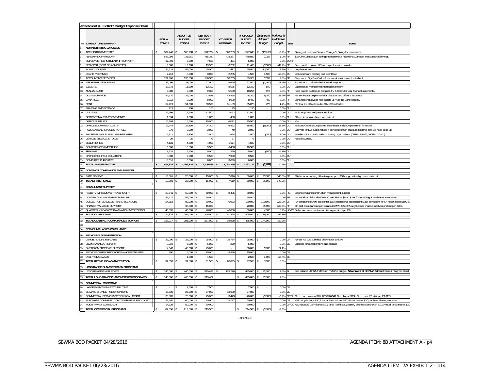|                 | Attachment A. FY16/17 Budget Expense Detail                   |                          |                                             |                                      |                                |                                             |                                         |                                           |                 |                                                                                                              |
|-----------------|---------------------------------------------------------------|--------------------------|---------------------------------------------|--------------------------------------|--------------------------------|---------------------------------------------|-----------------------------------------|-------------------------------------------|-----------------|--------------------------------------------------------------------------------------------------------------|
|                 | <b>EXPENDITURE SUMMARY</b>                                    | <b>ACTUAL</b><br>FY14/15 | <b>ADDOPTED</b><br><b>BUDGET</b><br>FY15/16 | MID-YEAR<br><b>BUDGET</b><br>FY15/16 | <b>YTD SPENT</b><br>01/31/2016 | <b>PROPOSED</b><br><b>BUDGET</b><br>FY16/17 | Variance to<br>Adopted<br><b>Budget</b> | Variance %<br>to Adopted<br><b>Budget</b> | Staff           | <b>Notes</b>                                                                                                 |
|                 | <b>ADMINISTRATIVE EXPENSES</b><br><b>NDMINISTRATIVE STAFF</b> | 582,448                  | 565.798                                     | 572,764                              | 328.789                        | 547.648                                     | (18, 150)                               | $-3.2%$                                   | FF              | Savings of previous Finance Manager's Salary for two months.                                                 |
|                 | AB 939 PROGRAM STAFF                                          | 646,298                  | 731,661                                     | 715,342                              | 478,287                        | 738,889                                     | 7,228                                   | 1.0% FF                                   |                 | \$19K PTO, less \$12K savings from previous Recycling Outreach and Sustainability Mgr                        |
|                 | <b>EMPLOYEE RECRUITMENT/HR SUPPORT</b>                        | 37,801                   | 5,000                                       | 7,500                                | 421                            | 5,000                                       |                                         | 0.0%                                      | CU/F            |                                                                                                              |
|                 | PEO COST (RGS/LGS ADMIN FEES)                                 | 9,000                    | 19,900                                      | 19,900                               | 6,232                          | 11,400                                      | (8, 500)                                | -42.7% FF                                 |                 | Fees paid to contract HR and payroll service provider.                                                       |
|                 | <b>BOARD COUNSEL</b>                                          | 34.616                   | 55.000                                      | 45.000                               | 11.431                         | 65.000                                      | 10.000                                  | 18.2%                                     | CU              | Legal expenses                                                                                               |
|                 | <b>BOARD MEETINGS</b>                                         | 2,710                    | 3.000                                       | 3.000                                | 2.235                          | 4.500                                       | 1,500                                   | 50.0%                                     | CU              | Includes Board meeting and Event food                                                                        |
|                 | ACCOUNTING SERVICES                                           | 131,900                  | 136,530                                     | 136,530                              | 68,265                         | 139,929                                     | 3,399                                   | 2.5%                                      | IFF.            | Payment to City San Carlos for account services contracted-out                                               |
|                 | <b>INFORMATION SYSTEMS</b>                                    | 25,096                   | 28,000                                      | 27,000                               | 19,665                         | 27,000                                      | (1,000)                                 | $-3.6%$                                   | CU              | Expenses to maintain the information system                                                                  |
| 12              | WEBSITE                                                       | 12,578                   | 11,500                                      | 12,100                               | 8,555                          | 12,100                                      | 600                                     | 5.2%                                      | CU              | Expenses to maintain the information system                                                                  |
| $\overline{13}$ | ANNUAL AUDIT                                                  | 9.000                    | 9.300                                       | 9.300                                | 5.500                          | 10,216                                      | 916                                     | 9.8%                                      | FF              | Fees paid to auditors to complete FY & Calendar year financial statements.                                   |
| 14              | <b>D&amp;O INSURANCE</b>                                      | 34,570                   | 39,000                                      | 42,888                               | 42,898                         | 48,200                                      | 9,200                                   | 23.6%                                     | <b>IFF</b>      | Annual insurance premium for director's and officer's insurance                                              |
| 15              | <b>BANK FEES</b>                                              | 7,312                    | 8.000                                       | 8,000                                | 4.088                          | 8,492                                       | 492                                     | 6.2% FF                                   |                 | Bank fees inclusive of fees paid to BNY as the Bond Trustee.                                                 |
|                 | RENT                                                          | 52,419                   | 54,300                                      | 53,500                               | 31,189                         | 55,073                                      | 773                                     | 1.4%                                      | CU              | Rent for the office from the City of San Carlos                                                              |
|                 | PRINTING AND POSTAGE                                          | 219                      | 150                                         | 150                                  | 123                            | 150                                         | $\cdot$                                 | 0.0%                                      | CU              |                                                                                                              |
| 20              | <b>JTILITIES</b>                                              | 16,299                   | 17,500                                      | 17,500                               | 7,093                          | 17,500                                      | $\cdot$                                 | 0.0%                                      | CU              | Includes phone and janitor invoices                                                                          |
|                 | OFFICE/TENANT IMPROVEMENTS                                    | 1,034                    | 1,000                                       | 1,000                                | 400                            | 1,000                                       | $\Delta$                                | 0.0%                                      | CU              | Office cleaning and improvements etc                                                                         |
| $\overline{22}$ | <b>OFFICE SUPPLIES</b>                                        | 16,904                   | 15,500                                      | 15,000                               | 6,07                           | 15,500                                      | ÷,                                      | 0.0%                                      | CU              | Misc                                                                                                         |
|                 | OFFICE EQUIPMENT COSTS                                        | 19,544<br>970            | 24,300                                      | 24,300                               | 9,872                          | 15,000                                      | (9, 300)                                | $-38.39$                                  | CU              | Includes Copier \$600 per mo. base lease and \$200 per month for copies                                      |
|                 | UBLICATIONS & PUBLIC NOTICES                                  | 1,311                    | 3.000                                       | 3,000<br>2,000                       | 49<br>624                      | 3.000                                       |                                         | 0.0%                                      | CU              | Estimate for two public notices if doing more than one public bid this item will need to go up               |
| 25<br>26        | PROFESSIONAL DUES & MEMBERSHIPS<br>VEHICLE MILEAGE & TOLLS    | 39                       | 2,300<br>75                                 | 75                                   | 37                             | 2,000<br>75                                 | (300)                                   | $-13.0%$<br>0.0%                          | CU<br><b>CU</b> | Memberships to trade and community organizations (CRRA, SWMA, NCRA, CCAC)<br>Auto allowance                  |
|                 | CELL PHONES                                                   | 4,131                    | 4.500                                       | 4,000                                | 1,674                          | 4,500                                       | ÷.                                      | 0.0%                                      | CU              |                                                                                                              |
|                 | CONFERENCE & MEETINGS                                         | 6,300                    | 10,500                                      | 9,500                                | 6,468                          | 10,500                                      |                                         | 0.0%                                      | CU              |                                                                                                              |
| 29              | <b>RAINING</b>                                                | 1,724                    | 5.500                                       | 5,000                                | 1,299                          | 5,000                                       | (500                                    | $-9.1%$                                   | CU              |                                                                                                              |
| 31              | SPONSORSHIPS & DONATIONS                                      | 8,500                    | 9,500                                       | 9,500                                | 7,000                          | 9,500                                       | $\cdot$                                 | 0.0%                                      | CU              |                                                                                                              |
|                 | OMPUTER PURCHASE                                              | 8,610                    | 6.000                                       | 6.000                                | 3.098                          | 6.000                                       |                                         | 0.0%                                      | CU              |                                                                                                              |
|                 | <b>TOTAL ADMINISTRATIVE</b>                                   | 1,671,334                | 1,766,814                                   | 1,749,849                            | 1,051,365                      | 1,763,172                                   | (3,642)                                 | $-0.29$                                   |                 |                                                                                                              |
|                 | CONTRACT COMPLIANCE AND SUPPORT                               |                          |                                             |                                      |                                |                                             |                                         |                                           |                 |                                                                                                              |
|                 | <b>RATE REVIEW</b>                                            | 13,501                   | 25,000                                      | 15,000                               | 7,610                          | 60,000                                      | 35,000                                  | 140.0%                                    |                 | 30k financial auditing office temp support, \$30k support to align rates and cost.                           |
|                 | TOTAL RATE REVIEW                                             | 13,501                   | 25,000                                      | 15,000                               | 7,610                          | 60,000                                      | 35,000                                  | 140.0%                                    |                 |                                                                                                              |
|                 |                                                               |                          |                                             |                                      |                                |                                             |                                         |                                           |                 |                                                                                                              |
|                 | CONSULTANT SUPPORT                                            |                          |                                             |                                      |                                |                                             |                                         |                                           |                 |                                                                                                              |
| 43              | <b>ACILITY IMPROVEMENT OVERSIGHT</b>                          | 23,641                   | 50,000                                      | 50,000                               | 8.405                          | 50,000                                      | i,                                      | 0.0% HG                                   |                 | Engineering and construction management support                                                              |
| 44              | CONTRACT MANAGEMENT SUPPORT                                   | 52,627                   | 55,000                                      | 55,000                               |                                | 55,000                                      | ÷                                       | 0.0% FF                                   |                 | Annual Financial Audit of RSMC and SBR at \$40K. \$15K for reviewing annual route assessment                 |
| 45              | COLLECTION SERVICES FRANCHISE ADMIN.                          | 54,653                   | 80,000                                      | 80,000                               | 6,963                          | 180,000                                     | 100,000                                 | 125.0%                                    | CF              | FA compliance \$40k; call center \$15k; operational assessment \$25k; consultant for FA negotiations \$100k) |
|                 | INANCE MANAGER SUPPORT                                        |                          | 35,000                                      | 15,000                               |                                | 70,000                                      | 35,000                                  | 100.0% FF                                 |                 | On-Call consultant support as needed MM \$35k; FA negotiations financial analysis and support \$35k          |
|                 | QUARTERLY LOAD CONTAMINATION MONITORING                       | 43.895                   | 46.000                                      | 46.000                               | 46.000                         | 50.000                                      | 4.000                                   | 8.7%                                      |                 | HG/CF Bi-Annual contamination monitoring required per FA                                                     |
|                 | <b>TOTAL CONSULTANT</b>                                       | 174.816                  | 266.000                                     | 246.000                              | 61,368                         | 405.000                                     | 139.000                                 | 52.39                                     |                 |                                                                                                              |
|                 | <b>TOTAL CONTRACT COMPLIANCE &amp; SUPPORT</b>                | 188.317                  | 291.000                                     | 261.000                              | 68.97                          | 465.000                                     | 174.000                                 | 59.89                                     |                 |                                                                                                              |
|                 |                                                               |                          |                                             |                                      |                                |                                             |                                         |                                           |                 |                                                                                                              |
|                 | RECYCLING - AB939 COMPLIANCE                                  |                          |                                             |                                      |                                |                                             | $\overline{\phantom{a}}$                |                                           |                 |                                                                                                              |
|                 | RECYCLING ADMINISTRATION                                      |                          |                                             |                                      |                                |                                             | $\sim$                                  |                                           |                 |                                                                                                              |
|                 | CIWMB ANNUAL REPORTS                                          | 25,000                   | 25,000                                      | 25,000                               | 19,734                         | 25,000                                      | $\sim$                                  | $0.0\%$ CF                                |                 | Annual AB 939 submittal of EARs for 10-MAs                                                                   |
| 58              | SBWMA ANNUAL REPORT                                           | 8,010                    | 5.000                                       | 5,000                                | 270                            | 5.000                                       |                                         | 0.0% CL                                   |                 | Expense for report printing and postage                                                                      |
|                 | <b>DIVERSION PROGRAM SUPPORT</b>                              | 4,643                    | 45,000                                      | 45,000                               | à.                             | 50,000                                      | 5,000                                   | 11.19                                     |                 |                                                                                                              |
|                 | RECYCLING REPORTING ORDINANCE EXPENSES                        | 200                      | 15,000                                      | 15,000                               | 8,896                          | 15,000                                      |                                         | 0.0%                                      | CF              |                                                                                                              |
| 63              | <b>EVENT GIVEAWAYS</b>                                        | ×,                       | 1,500                                       | 1,500                                |                                | 2,500                                       | 1,000                                   | 66.7%                                     | СL              |                                                                                                              |
|                 | <b>TOTAL RECYCLING ADMINISTRATION</b>                         | 37,853                   | 91,500                                      | 91,500                               | 28,899                         | 97,500                                      | 6,000                                   | 6.6%                                      |                 |                                                                                                              |
|                 | ONG RANGE PLAN/DIVERSION PROGRAMS                             |                          |                                             |                                      |                                |                                             |                                         |                                           |                 |                                                                                                              |
|                 | ONG RANGE PLAN UPDATE                                         | 146,600                  | 460,000                                     | 515,422                              | 129,270                        | 495,000                                     | 35,000<br>$\hat{\mathbf{x}}$            | 7.6%                                      | <b>ALL</b>      | See detail of LRP/ZLF efforts in FY16/17 Budget, Attachment B. SBWMA Administration & Program Detai          |
|                 | <b>FOTAL LONG RANGE PLAN/DIVERSION PROGRAMS</b>               | 146,600                  | 460,000                                     | 515,422                              |                                | 495,000                                     | 35,000                                  | 7.6%                                      |                 |                                                                                                              |
|                 | OMMERCIAL PROGRAMS                                            |                          |                                             |                                      |                                |                                             |                                         |                                           |                 |                                                                                                              |
|                 | ARGE EVENT/VENUE CONSULTING                                   |                          | 7,500                                       | 7,500                                |                                | 7,500                                       | $\cdot$                                 | 0.0%                                      | CF              |                                                                                                              |
| 91              | CLIMATE CHANGE POLICY OPTIONS                                 | 15,636                   | 27,000                                      | 27,000                               | 13,090                         | 27,000                                      | $\cdot$                                 | 0.0%                                      | СL              |                                                                                                              |
| 92              | OMMERCIAL RECYCLING TECHNICAL ASSIST                          | 35,885                   | 75.000                                      | 75,000                               | 3,473                          | 70,000                                      | (5,000)                                 | $-6.79$                                   | CF/CI           | Comm. acc. assess \$20; AB1826&341 Compliance \$30k; Commercial Toolkit per FA \$20k                         |
| 93              | PURCHASE COMM/MFD CONTAINERS FOR RECOLOGY                     | 21,440                   | 60,000                                      | 60.000                               | 18,717                         | 60,000                                      |                                         | 0.0%                                      |                 | MFD recycle bags \$20, internal R containers \$20 MA containers \$20 per Franchise Agreements                |
|                 | <b><i>NULTI-FAMILY OUTREACH</i></b>                           | 14.729                   | 50.000                                      | 50.000                               |                                | 50.000                                      |                                         | 0.0%                                      | CE/CI           | AB341&1826 Compliance \$10; MFD Toolkit \$20; Battery phones subscription \$10; Annual MFD awards \$10       |
| 97              | TOTAL COMMERCIAL PROGRAMS                                     | 87,690                   | 219,500                                     | 219,500                              |                                | 214,500                                     | (5,000)                                 | $-2.39$                                   |                 |                                                                                                              |

EXPENSES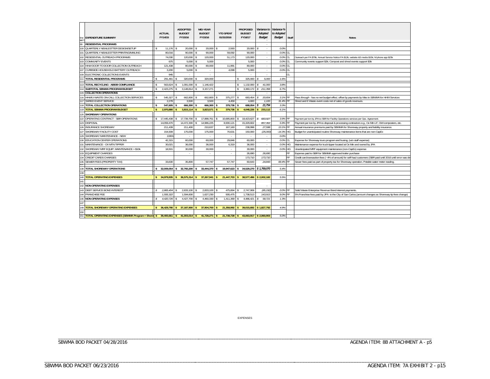|            | <b>EXPENDITURE SUMMARY</b>                                                                                                        | <b>ACTUAL</b><br>FY14/15 |            | <b>ADDOPTED</b><br><b>BUDGET</b><br>FY15/16 | <b>MID-YEAR</b><br><b>BUDGET</b><br>FY15/16 | <b>YTD SPENT</b><br>01/31/2016 | <b>PROPOSED</b><br><b>BUDGET</b><br>FY16/17 | <i>Variance to</i><br>Adopted<br><b>Budget</b> | Variance %<br>to Adopted<br><b>Budget</b> | Staff | <b>Notes</b>                                                                                                 |
|------------|-----------------------------------------------------------------------------------------------------------------------------------|--------------------------|------------|---------------------------------------------|---------------------------------------------|--------------------------------|---------------------------------------------|------------------------------------------------|-------------------------------------------|-------|--------------------------------------------------------------------------------------------------------------|
| 99         | <b>RESIDENTIAL PROGRAMS</b>                                                                                                       |                          |            |                                             |                                             |                                |                                             | $\bar{z}$                                      |                                           |       |                                                                                                              |
| 100        | QUARTERLY NEWLESTTER DESIGN/SETUP                                                                                                 |                          | 11.176     | 20.000                                      | 20.000                                      | 2.593                          | $20.000$ $\sqrt{s}$                         | $\cdot$                                        | 0.0%                                      |       |                                                                                                              |
| 101        | <b>QUARTERLY NEWLESTTER PRINTING/MAILING</b>                                                                                      |                          | 80.016     | 90.000                                      | 90.000                                      | 59.092                         | 90,000                                      | $\sim$                                         | 0.0% CL                                   |       |                                                                                                              |
| 102        | RESIDENTIAL OUTREACH PROGRAMS                                                                                                     |                          | 74,030     | 120.000                                     | 120,000                                     | 51.173                         | 120,000                                     | $\sim$                                         | 0.0%                                      | CI.   | Outreach per FA \$70k; Annual Service Notice FA \$12k; website &S media \$15k; M phone app \$23k             |
| 103        | <b>COMMUNITY EVENTS</b>                                                                                                           |                          | 675        | 5.000                                       | 5.000                                       |                                | 5.000                                       | $\bar{z}$                                      | 0.0%                                      | CL    | Community events support \$2k; Compost and shred events support \$3k                                         |
| 104        | HHW DOOR TO DOOR COLLECTION OUTREACH                                                                                              |                          | 121.438    | 80,000                                      | 80.000                                      | 11.99                          | 80.000                                      | $\sim$                                         | 0.0% CL                                   |       |                                                                                                              |
| 107        | CURBSIDE HOUSEHOLD BATTERY OUTREACH                                                                                               |                          | 3.200      | 5.000                                       | $\sim$                                      | 4.098                          | 5.000                                       | $\sim$                                         | 0.0%                                      | lcı   |                                                                                                              |
| 109        | ELECTRONIC COLLECTIONS EVENTS                                                                                                     |                          | 945        |                                             |                                             |                                |                                             |                                                |                                           | CI.   |                                                                                                              |
| 111        | <b>TOTAL RESIDENTIAL PROGRAMS</b>                                                                                                 |                          | 291.481    | 320,000                                     | 320.000                                     |                                | 325,000                                     | 5,000                                          | 1.6%                                      |       |                                                                                                              |
| 113        | TOTAL RECYCLING - AB939 COMPLIANCE                                                                                                |                          | 563.624    | 1.091.000                                   | 1.146.422                                   |                                | 1.132.000                                   | 41.000                                         | 3.8%                                      |       |                                                                                                              |
| 114        | SUBTOTAL SBWMA PROGRAM BUDGET                                                                                                     |                          | 2.423.275  | 3,148,814                                   | 3.157.271                                   |                                | 3.360.172                                   | 211.358<br>l s                                 | 6.7%                                      |       |                                                                                                              |
| 115        | COLLECTION OPERATIONS                                                                                                             |                          |            |                                             |                                             |                                |                                             |                                                |                                           |       |                                                                                                              |
| 116        | HHW/U-WASTE ON-CALL COLLECTION SERVICES                                                                                           |                          | 545.327    | 662,800                                     | 662,800                                     | 375,277                        | 683,454                                     | 20.654<br>l s                                  | 3.1% FF                                   |       | Pass through - has no net budget effect, offset by payments by Mas to SBWMA for HHW Services                 |
| 117        | <b>SHRED EVENT SERVICE</b>                                                                                                        |                          | 2.278      | 3.500                                       | 3.500                                       | 4,459                          | 4.600                                       | 1.100                                          | 31.4% FF                                  |       | Shred and E Waste event costs net of sales of goods revenues                                                 |
| 118        | TOTAL COLLECTION OPERATIONS                                                                                                       | $\mathbf{\hat{s}}$       | 547,605    | 666,300                                     | 666,300                                     | 379,736                        | 688,054                                     | 21,754<br>l s                                  | 3.3%                                      |       |                                                                                                              |
| 119        | <b>TOTAL SBWMA PROGRAM BUDGET</b>                                                                                                 |                          | 2.970.880  | 3,815,114                                   | 3,823,571                                   | 379.736                        | 4.048.226                                   | 233,112<br>l s                                 | 6.1%                                      |       |                                                                                                              |
| 120        | <b>SHOREWAY OPERATIONS</b>                                                                                                        |                          |            |                                             |                                             |                                |                                             |                                                |                                           |       |                                                                                                              |
| 122        | OPERATING CONTRACT - SBR OPERATIONS                                                                                               | Ŝ.                       | 17.445.438 | 17.739.700                                  | 17,888,761                                  | 10.685.800                     | 18.423.627                                  | \$683.927                                      | 3.9% FF                                   |       | Payment per ton by JPA to SBR for Facility Operations services per Ops. Agreement                            |
| 123        | <b>DISPOSAL</b>                                                                                                                   |                          | 14.059.470 | 14.472.300                                  | 14.986.225                                  | 8.930.121                      | 15.329.602                                  | 857.302                                        | 5.9% FF                                   |       | Payment per ton by JPA to disposal & processing contractors e.g., Ox Mtn LF, GW composters, etc.             |
| 126        | <b>INSURANCE SHOREWAY</b>                                                                                                         |                          | 211.439    | 211.400                                     | 210,637                                     | 167,160                        | 238.998                                     | 27.598                                         | 13.1% FF                                  |       | Annual insurance premiums paid by SBWMA for Shoreway property and liability insurance.                       |
| 127        | SHOREWAY FACILITY COST                                                                                                            |                          | 154.939    | 175,000                                     | 175,000                                     | 70,63                          | 150,000                                     | (25,000)                                       | $-14.3\%$ HG                              |       | Budget for unanticipated routine Shoreway maintenance items that are non-CapEx                               |
| 129        | SHOREWAY MAINTENANCE - NEW                                                                                                        |                          | 13301      | $\sim$                                      | $\sim$                                      | $\sim$                         | $\sim$                                      | $\sim$                                         | 0.0%                                      |       |                                                                                                              |
| 130        | EDUCATION CENTER OPERATIONS                                                                                                       |                          | 42,315     | 60,000                                      | 60,000                                      | 29,846                         | 60,000                                      | $\cdot$                                        | 0.0% CL                                   |       | Expense for Shoreway tours program and busing, (w/o staff expense)                                           |
| 131        | MAINTENANCE - OX MTN TIPPER                                                                                                       |                          | 30,021     | 36,000                                      | 36,000                                      | 6,319                          | 36,000                                      | $\mathcal{L}$                                  | 0.0% HG                                   |       | Maintenance expense for truck tipper located at Ox Mtn and owned by JPA                                      |
| 132        | SHOREWAY MRF EQUIP. MAINTENANCE > \$10k                                                                                           |                          | 18.501     | 30.000                                      | 30.000                                      | $\sim$                         | 30.000                                      | $\mathcal{L}_{\mathcal{A}}$                    | 0.0% HG                                   |       | Unanticipated MRF equipment maintenance (non-CapEx) expense                                                  |
| 133        | <b>EQUIPMENT CHARGES</b>                                                                                                          |                          |            | ٠                                           | $\overline{\phantom{a}}$                    | $\sim$                         | 26.690                                      | 26.690                                         |                                           | FF    | Expense paid to SBR for SBWMA approved trailer purchase                                                      |
| 134        | CREDIT CARDS CHARGES                                                                                                              |                          |            |                                             |                                             |                                | 173.710                                     | 173.710                                        |                                           | FF.   | Credit card transaction fees (-4% of amount) for self-haul customers (SBR paid until 2016 until error was de |
| 135<br>137 | SEWER FEES (PROPERTY TAX)                                                                                                         |                          | 33.630     | 35.800                                      | 57.747                                      | 57.747                         | 60.643                                      | 24.843                                         | 69.4%                                     | IFF.  | Sewer fees paid as part of property tax for Shoreway operation. Potable water meter reading.                 |
| 138        | TOTAL SHOREWAY OPERATIONS                                                                                                         | $\mathbf{s}$             | 32.009.054 | 32,760,200                                  | 33,444,370                                  | 19,947,623<br>s                | \$                                          | 34,529,270 \$ 1,769,070                        | 5.4%                                      |       |                                                                                                              |
| 139        |                                                                                                                                   |                          |            |                                             |                                             |                                |                                             |                                                |                                           |       |                                                                                                              |
| 140        | <b>TOTAL OPERATING EXPENSES</b>                                                                                                   |                          | 34.979.935 | 36,575,314                                  | 37,267,941                                  | 21,447,703                     | 38.577.496<br>s                             | \$2.002.182                                    | 5.5%                                      |       |                                                                                                              |
| 141        |                                                                                                                                   |                          |            |                                             |                                             |                                |                                             |                                                |                                           |       |                                                                                                              |
| 142        | NON-OPERATING EXPENSES                                                                                                            |                          |            |                                             |                                             |                                |                                             | $\overline{\phantom{a}}$                       |                                           |       |                                                                                                              |
| 143        | <b>DEBT SERVICE BOND INTEREST</b>                                                                                                 |                          | 2.865.404  | 2.833.100                                   | 2.833.100                                   | 475.894                        | 2.747.908                                   | (85, 192)                                      | $-3.0\%$ FF                               |       | Solid Waste Enterprise Revenue Bond interest payments.                                                       |
| 144        | <b>FRANCHISE FEE</b>                                                                                                              |                          | 1.555.322  | 1.594.600                                   | 1.627.230                                   | 935.475                        | 1.738.513                                   | 143.913                                        | 9.0% FF                                   |       | 5% Franchise fees paid by JPA to the City of San Carlos.(amount changes as Shoreway tip fees change)         |
| 146        | <b>NON-OPERATING EXPENSES</b>                                                                                                     |                          | 4,420,726  | 4,427,700                                   | 4,460,330                                   | 1,411,369                      | $4,486,421$ \$                              | 58.721                                         | 1.3%                                      |       |                                                                                                              |
| 147        |                                                                                                                                   |                          |            |                                             |                                             |                                |                                             |                                                |                                           |       |                                                                                                              |
| 149        | <b>TOTAL SHOREWAY OPERATING EXPENSES</b>                                                                                          |                          | 36,429,780 | 37.187.900                                  | 37,904,700                                  | 21,358,992                     | 39,015,692<br>$\mathsf{s}$                  | \$1.827.792                                    | 4.9%                                      |       |                                                                                                              |
| 150        |                                                                                                                                   |                          |            |                                             |                                             |                                |                                             |                                                |                                           |       |                                                                                                              |
|            | 151 TOTAL OPERATING EXPENSES (SBWMA Program + Shore) \$39,400,661 \$41,003,014 \$41,728,271 \$21,738,728 \$43,063,917 \$2,060,903 |                          |            |                                             |                                             |                                |                                             |                                                | 5.0%                                      |       |                                                                                                              |

EXPENSES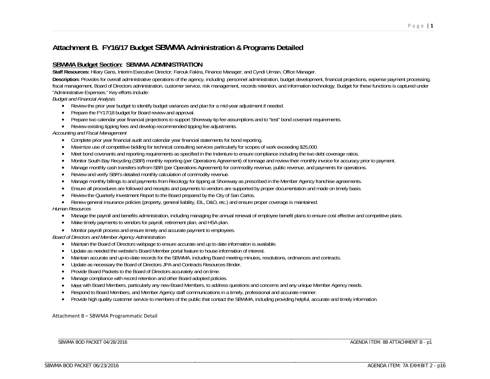# **Attachment B. FY16/17 Budget SBWMA Administration & Programs Detailed**

### **SBWMA Budget Section: SBWMA ADMINISTRATION**

**Staff Resources:** Hilary Gans, Interim Executive Director; Farouk Fakira, Finance Manager; and Cyndi Urman, Office Manager.

**Description:** Provides for overall administrative operations of the agency, including: personnel administration, budget development, financial projections, expense payment processing, fiscal management, Board of Directors administration, customer service, risk management, records retention, and information technology. Budget for these functions is captured under "Administrative Expenses." Key efforts include:

*Budget and Financial Analysis* 

- Review the prior year budget to identify budget variances and plan for a mid-year adjustment if needed.
- Prepare the FY17/18 budget for Board review and approval.
- Prepare two calendar year financial projections to support Shoreway tip fee assumptions and to "test" bond covenant requirements.
- Review existing tipping fees and develop recommended tipping fee adjustments.

#### *Accounting and Fiscal Management*

- Complete prior year financial audit and calendar year financial statements for bond reporting.
- Maximize use of competitive bidding for technical consulting services particularly for scopes of work exceeding \$25,000.
- Meet bond covenants and reporting requirements as specified in the Indenture to ensure compliance including the two debt coverage ratios.
- Monitor South Bay Recycling (SBR) monthly reporting (per Operations Agreement) of tonnage and review their monthly invoice for accuracy prior to payment.
- Manage monthly cash transfers to/from SBR (per Operations Agreement) for commodity revenue, public revenue, and payments for operations.
- $\bullet$ Review and verify SBR's detailed monthly calculation of commodity revenue.
- $\bullet$ Manage monthly billings to and payments from Recology for tipping at Shoreway as prescribed in the Member Agency franchise agreements.
- $\bullet$ Ensure all procedures are followed and receipts and payments to vendors are supported by proper documentation and made on timely basis.
- $\bullet$ Review the Quarterly Investment Report to the Board prepared by the City of San Carlos.
- Renew general insurance policies (property, general liability, EIL, D&O, etc.) and ensure proper coverage is maintained.

#### *Human Resources*

- Manage the payroll and benefits administration, including managing the annual renewal of employee benefit plans to ensure cost effective and competitive plans.
- Make timely payments to vendors for payroll, retirement plan, and HSA plan.
- Monitor payroll process and ensure timely and accurate payment to employees.

#### *Board of Directors and Member Agency Administration*

- Maintain the Board of Directors webpage to ensure accurate and up to date information is available.
- Update as needed the website's Board Member portal feature to house information of interest.
- $\bullet$ Maintain accurate and up-to-date records for the SBWMA, including Board meeting minutes, resolutions, ordinances and contracts.
- Update as necessary the Board of Directors JPA and Contracts Resources Binder.
- $\bullet$ Provide Board Packets to the Board of Directors accurately and on time.

\_\_\_\_\_\_\_\_\_\_\_\_\_\_\_\_\_\_\_\_\_\_\_\_\_\_\_\_\_\_\_\_\_\_\_\_\_\_\_\_\_\_\_\_\_\_\_\_\_\_\_\_\_\_\_\_

\_\_\_\_\_\_\_\_\_\_\_\_\_\_\_\_\_\_\_\_\_\_\_\_\_\_\_\_\_\_\_\_\_\_\_\_\_\_\_\_\_\_\_\_\_\_\_\_\_\_\_\_\_\_\_\_

- $\bullet$ Manage compliance with record retention and other Board adopted policies.
- $\bullet$ Meet with Board Members, particularly any new Board Members, to address questions and concerns and any unique Member Agency needs.
- $\bullet$ Respond to Board Members, and Member Agency staff communications in a timely, professional and accurate manner.
- $\bullet$ Provide high quality customer service to members of the public that contact the SBWMA, including providing helpful, accurate and timely information.

#### Attachment B – SBWMA Programmatic Detail

SBWMA BOD PACKET 04/28/2016

AGENDA ITEM: 8B ATTACHMENT B - p1

\_\_\_\_\_\_\_\_\_\_\_\_\_\_\_\_\_\_\_\_\_\_\_\_\_\_\_\_\_\_\_\_\_\_\_\_\_ \_\_\_\_\_\_\_\_\_\_\_\_\_\_\_\_\_\_\_\_\_\_\_\_\_\_\_\_\_\_\_\_\_\_\_\_\_\_\_\_\_\_\_\_\_\_\_\_\_\_\_\_\_\_\_\_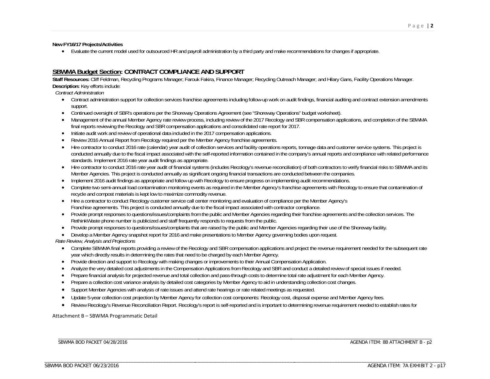**New FY16/17 Projects/Activities**

Evaluate the current model used for outsourced HR and payroll administration by a third party and make recommendations for changes if appropriate.

### **SBWMA Budget Section: CONTRACT COMPLIANCE AND SUPPORT**

**Staff Resources:** Cliff Feldman, Recycling Programs Manager; Farouk Fakira, Finance Manager; Recycling Outreach Manager; and Hilary Gans, Facility Operations Manager. **Description:** Key efforts include:

*Contract Administration*

- Contract administration support for collection services franchise agreements including follow-up work on audit findings, financial auditing and contract extension amendments support.
- Continued oversight of SBR's operations per the Shoreway Operations Agreement (see "Shoreway Operations" budget worksheet).
- c Management of the annual Member Agency rate review process, including review of the 2017 Recology and SBR compensation applications, and completion of the SBWMA final reports reviewing the Recology and SBR compensation applications and consolidated rate report for 2017.
- Initiate audit work and review of operational data included in the 2017 compensation applications.
- $\bullet$ Review 2016 Annual Report from Recology required per the Member Agency franchise agreements.
- Hire contractor to conduct 2016 rate (calendar) year audit of collection services and facility operations reports, tonnage data and customer service systems. This project is conducted annually due to the fiscal impact associated with the self-reported information contained in the company's annual reports and compliance with related performance standards. Implement 2016 rate year audit findings as appropriate.
- Hire contractor to conduct 2016 rate year audit of financial systems (includes Recology's revenue reconciliation) of both contractors to verify financial risks to SBWMA and its Member Agencies. This project is conducted annually as significant ongoing financial transactions are conducted between the companies.
- Implement 2016 audit findings as appropriate and follow up with Recology to ensure progress on implementing audit recommendations.
- Complete two semi-annual load contamination monitoring events as required in the Member Agency's franchise agreements with Recology to ensure that contamination of recycle and compost materials is kept low to maximize commodity revenue.
- Hire a contractor to conduct Recology customer service call center monitoring and evaluation of compliance per the Member Agency's Franchise agreements. This project is conducted annually due to the fiscal impact associated with contractor compliance.
- Provide prompt responses to questions/issues/complaints from the public and Member Agencies regarding their franchise agreements and the collection services. The RethinkWaste phone number is publicized and staff frequently responds to requests from the public.
- Provide prompt responses to questions/issues/complaints that are raised by the public and Member Agencies regarding their use of the Shoreway facility.
- $\bullet$ Develop a Member Agency snapshot report for 2016 and make presentations to Member Agency governing bodies upon request.

*Rate Review, Analysis and Projections*

- Complete SBWMA final reports providing a review of the Recology and SBR compensation applications and project the revenue requirement needed for the subsequent rate year which directly results in determining the rates that need to be charged by each Member Agency.
- Provide direction and support to Recology with making changes or improvements to their Annual Compensation Application.
- c Analyze the very detailed cost adjustments in the Compensation Applications from Recology and SBR and conduct a detailed review of special issues if needed.
- $\bullet$ Prepare financial analysis for projected revenue and total collection and pass-through costs to determine total rate adjustment for each Member Agency.
- $\bullet$ Prepare a collection cost variance analysis by detailed cost categories by Member Agency to aid in understanding collection cost changes.
- $\bullet$ Support Member Agencies with analysis of rate issues and attend rate hearings or rate related meetings as requested.
- $\bullet$ Update 5-year collection cost projection by Member Agency for collection cost components: Recology cost, disposal expense and Member Agency fees.
- Review Recology's Revenue Reconciliation Report. Recology's report is self-reported and is important to determining revenue requirement needed to establish rates for

#### Attachment B – SBWMA Programmatic Detail

\_\_\_\_\_\_\_\_\_\_\_\_\_\_\_\_\_\_\_\_\_\_\_\_\_\_\_\_\_\_\_\_\_\_\_\_\_\_\_\_\_\_\_\_\_\_\_\_\_\_\_\_\_\_\_\_

\_\_\_\_\_\_\_\_\_\_\_\_\_\_\_\_\_\_\_\_\_\_\_\_\_\_\_\_\_\_\_\_\_\_\_\_\_\_\_\_\_\_\_\_\_\_\_\_\_\_\_\_\_\_\_\_

SBWMA BOD PACKET 04/28/2016

\_\_\_\_\_\_\_\_\_\_\_\_\_\_\_\_\_\_\_\_\_\_\_\_\_\_\_\_\_\_\_\_\_\_\_\_\_ \_\_\_\_\_\_\_\_\_\_\_\_\_\_\_\_\_\_\_\_\_\_\_\_\_\_\_\_\_\_\_\_\_\_\_\_\_\_\_\_\_\_\_\_\_\_\_\_\_\_\_\_\_\_\_\_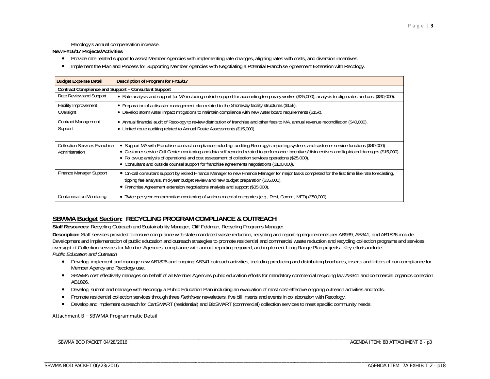Recology's annual compensation increase.

#### **New FY16/17 Projects/Activities**

- Provide rate related support to assist Member Agencies with implementing rate changes, aligning rates with costs, and diversion incentives.
- Implement the Plan and Process for Supporting Member Agencies with Negotiating a Potential Franchise Agreement Extension with Recology.

| <b>Budget Expense Detail</b>                                | Description of Program for FY16/17                                                                                                                                                                                                                                                                |
|-------------------------------------------------------------|---------------------------------------------------------------------------------------------------------------------------------------------------------------------------------------------------------------------------------------------------------------------------------------------------|
| <b>Contract Compliance and Support - Consultant Support</b> |                                                                                                                                                                                                                                                                                                   |
| Rate Review and Support                                     | • Rate analysis and support for MA including outside support for accounting temporary worker (\$25,000); analysis to align rates and cost (\$30,000).                                                                                                                                             |
| <b>Facility Improvement</b>                                 | • Preparation of a disaster management plan related to the Shoreway facility structures (\$15k).                                                                                                                                                                                                  |
| Oversight                                                   | • Develop storm water impact mitigations to maintain compliance with new water board requirements (\$15k).                                                                                                                                                                                        |
| <b>Contract Management</b>                                  | • Annual financial audit of Recology to review distribution of franchise and other fees to MA, annual revenue reconciliation (\$40,000).                                                                                                                                                          |
| Support                                                     | • Limited route auditing related to Annual Route Assessments (\$15,000).                                                                                                                                                                                                                          |
|                                                             |                                                                                                                                                                                                                                                                                                   |
| <b>Collection Services Franchise</b>                        | • Support MA with Franchise contract compliance including: auditing Recology's reporting systems and customer service functions (\$40,000)<br>• Customer service Call Center monitoring and data self-reported related to performance incentives/disincentives and liquidated damages (\$15,000). |
| Administration                                              | • Follow-up analysis of operational and cost assessment of collection services operations (\$25,000).                                                                                                                                                                                             |
|                                                             | • Consultant and outside counsel support for franchise agreements negotiations (\$100,000).                                                                                                                                                                                                       |
| Finance Manager Support                                     | • On-call consultant support by retired Finance Manager to new Finance Manager for major tasks completed for the first time like rate forecasting,                                                                                                                                                |
|                                                             | tipping fee analysis, mid-year budget review and new budget preparation (\$35,000).                                                                                                                                                                                                               |
|                                                             | • Franchise Agreement extension negotiations analysis and support (\$35,000).                                                                                                                                                                                                                     |
| Contamination Monitoring                                    | • Twice per year contamination monitoring of various material categories (e.g., Resi, Comm., MFD) (\$50,000).                                                                                                                                                                                     |

## **SBWMA Budget Section: RECYCLING PROGRAM COMPLIANCE & OUTREACH**

**Staff Resources:** Recycling Outreach and Sustainability Manager, Cliff Feldman, Recycling Programs Manager.

**Description:** Staff services provided to ensure compliance with state-mandated waste reduction, recycling and reporting requirements per AB939, AB341, and AB1826 include: Development and implementation of public education and outreach strategies to promote residential and commercial waste reduction and recycling collection programs and services; oversight of Collection services for Member Agencies; compliance with annual reporting required; and implement Long Range Plan projects. Key efforts include: *Public Education and Outreach* 

- Develop, implement and manage new AB1826 and ongoing AB341 outreach activities, including producing and distributing brochures, inserts and letters of non-compliance for Member Agency and Recology use.
- SBWMA cost effectively manages on behalf of all Member Agencies public education efforts for mandatory commercial recycling law AB341 and commercial organics collection AB1826.
- Develop, submit and manage with Recology a Public Education Plan including an evaluation of most cost-effective ongoing outreach activities and tools.
- Promote residential collection services through three *Rethinker* newsletters, five bill inserts and events in collaboration with Recology.
- Develop and implement outreach for CartSMART (residential) and BizSMART (commercial) collection services to meet specific community needs.

Attachment B – SBWMA Programmatic Detail

\_\_\_\_\_\_\_\_\_\_\_\_\_\_\_\_\_\_\_\_\_\_\_\_\_\_\_\_\_\_\_\_\_\_\_\_\_\_\_\_\_\_\_\_\_\_\_\_\_\_\_\_\_\_\_\_

\_\_\_\_\_\_\_\_\_\_\_\_\_\_\_\_\_\_\_\_\_\_\_\_\_\_\_\_\_\_\_\_\_\_\_\_\_\_\_\_\_\_\_\_\_\_\_\_\_\_\_\_\_\_\_\_

SBWMA BOD PACKET 04/28/2016

AGENDA ITEM: 8B ATTACHMENT B - p3

\_\_\_\_\_\_\_\_\_\_\_\_\_\_\_\_\_\_\_\_\_\_\_\_\_\_\_\_\_\_\_\_\_\_\_\_\_ \_\_\_\_\_\_\_\_\_\_\_\_\_\_\_\_\_\_\_\_\_\_\_\_\_\_\_\_\_\_\_\_\_\_\_\_\_\_\_\_\_\_\_\_\_\_\_\_\_\_\_\_\_\_\_\_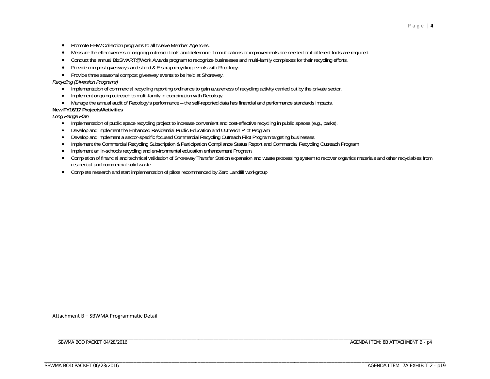- Promote HHW Collection programs to all twelve Member Agencies.
- Measure the effectiveness of ongoing outreach tools and determine if modifications or improvements are needed or if different tools are required.
- Conduct the annual BizSMART@Work Awards program to recognize businesses and multi-family complexes for their recycling efforts.
- Provide compost giveaways and shred & E-scrap recycling events with Recology.
- Provide three seasonal compost giveaway events to be held at Shoreway.

#### *Recycling (Diversion Programs)*

- Implementation of commercial recycling reporting ordinance to gain awareness of recycling activity carried out by the private sector.
- Implement ongoing outreach to multi-family in coordination with Recology.
- Manage the annual audit of Recology's performance the self-reported data has financial and performance standards impacts.

### **New FY16/17 Projects/Activities**

*Long Range Plan* 

- Implementation of public space recycling project to increase convenient and cost-effective recycling in public spaces (e.g., parks).
- $\bullet$ Develop and implement the Enhanced Residential Public Education and Outreach Pilot Program
- $\bullet$ Develop and implement a sector-specific focused Commercial Recycling Outreach Pilot Program targeting businesses
- $\bullet$ Implement the Commercial Recycling Subscription & Participation Compliance Status Report and Commercial Recycling Outreach Program
- $\bullet$ Implement an in-schools recycling and environmental education enhancement Program.
- Completion of financial and technical validation of Shoreway Transfer Station expansion and waste processing system to recover organics materials and other recyclables from residential and commercial solid waste
- Complete research and start implementation of pilots recommenced by Zero Landfill workgroup

Attachment B – SBWMA Programmatic Detail

\_\_\_\_\_\_\_\_\_\_\_\_\_\_\_\_\_\_\_\_\_\_\_\_\_\_\_\_\_\_\_\_\_\_\_\_\_\_\_\_\_\_\_\_\_\_\_\_\_\_\_\_\_\_\_\_

\_\_\_\_\_\_\_\_\_\_\_\_\_\_\_\_\_\_\_\_\_\_\_\_\_\_\_\_\_\_\_\_\_\_\_\_\_\_\_\_\_\_\_\_\_\_\_\_\_\_\_\_\_\_\_\_

\_\_\_\_\_\_\_\_\_\_\_\_\_\_\_\_\_\_\_\_\_\_\_\_\_\_\_\_\_\_\_\_\_\_\_\_\_ \_\_\_\_\_\_\_\_\_\_\_\_\_\_\_\_\_\_\_\_\_\_\_\_\_\_\_\_\_\_\_\_\_\_\_\_\_\_\_\_\_\_\_\_\_\_\_\_\_\_\_\_\_\_\_\_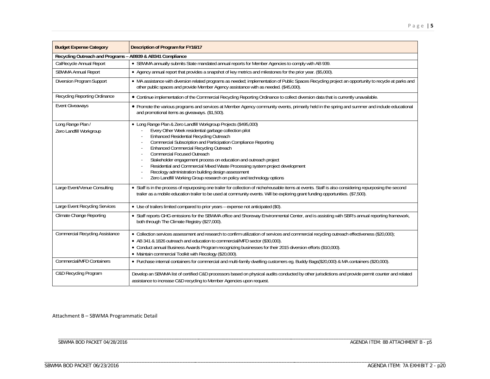| <b>Budget Expense Category</b>                             | Description of Program for FY16/17                                                                                                                                                                                                                                                                                                                                                                                                                                                                                                                                                                        |
|------------------------------------------------------------|-----------------------------------------------------------------------------------------------------------------------------------------------------------------------------------------------------------------------------------------------------------------------------------------------------------------------------------------------------------------------------------------------------------------------------------------------------------------------------------------------------------------------------------------------------------------------------------------------------------|
| Recycling Outreach and Programs - AB939 & AB341 Compliance |                                                                                                                                                                                                                                                                                                                                                                                                                                                                                                                                                                                                           |
| CalRecycle Annual Report                                   | . SBWMA annually submits State mandated annual reports for Member Agencies to comply with AB 939.                                                                                                                                                                                                                                                                                                                                                                                                                                                                                                         |
| <b>SBWMA Annual Report</b>                                 | • Agency annual report that provides a snapshot of key metrics and milestones for the prior year. (\$5,000).                                                                                                                                                                                                                                                                                                                                                                                                                                                                                              |
| Diversion Program Support                                  | • MA assistance with diversion related programs as needed; implementation of Public Spaces Recycling project an opportunity to recycle at parks and<br>other public spaces and provide Member Agency assistance with as needed. (\$45,000).                                                                                                                                                                                                                                                                                                                                                               |
| Recycling Reporting Ordinance                              | • Continue implementation of the Commercial Recycling Reporting Ordinance to collect diversion data that is currently unavailable.                                                                                                                                                                                                                                                                                                                                                                                                                                                                        |
| <b>Event Giveaways</b>                                     | • Promote the various programs and services at Member Agency community events, primarily held in the spring and summer and include educational<br>and promotional items as giveaways. (\$1,500).                                                                                                                                                                                                                                                                                                                                                                                                          |
| Long Range Plan /<br>Zero Landfill Workgroup               | • Long Range Plan & Zero Landfill Workgroup Projects (\$495,000)<br>Every Other Week residential garbage collection pilot<br>Enhanced Residential Recycling Outreach<br>Commercial Subscription and Participation Compliance Reporting<br><b>Enhanced Commercial Recycling Outreach</b><br>Commercial Focused Outreach<br>Stakeholder engagement process on education and outreach project<br>Residential and Commercial Mixed Waste Processing system project development<br>Recology administration building design assessment<br>Zero Landfill Working Group research on policy and technology options |
| Large Event/Venue Consulting                               | • Staff is in the process of repurposing one trailer for collection of niche/reusable items at events. Staff is also considering repurposing the second<br>trailer as a mobile education trailer to be used at community events. Will be exploring grant funding opportunities. (\$7,500).                                                                                                                                                                                                                                                                                                                |
| Large Event Recycling Services                             | • Use of trailers limited compared to prior years - expense not anticipated (\$0).                                                                                                                                                                                                                                                                                                                                                                                                                                                                                                                        |
| Climate Change Reporting                                   | • Staff reports GHG emissions for the SBWMA office and Shoreway Environmental Center, and is assisting with SBR's annual reporting framework,<br>both through The Climate Registry (\$27,000).                                                                                                                                                                                                                                                                                                                                                                                                            |
| <b>Commercial Recycling Assistance</b>                     | · Collection services assessment and research to confirm utilization of services and commercial recycling outreach effectiveness (\$20,000);<br>• AB 341 & 1826 outreach and education to commercial/MFD sector (\$30,000).<br>• Conduct annual Business Awards Program recognizing businesses for their 2015 diversion efforts (\$10,000).<br>• Maintain commercial Toolkit with Recology (\$20,000).                                                                                                                                                                                                    |
| <b>Commercial/MFD Containers</b>                           | • Purchase internal containers for commercial and multi-family dwelling customers eg. Buddy Bags(\$20,000) & MA containers (\$20,000).                                                                                                                                                                                                                                                                                                                                                                                                                                                                    |
| C&D Recycling Program                                      | Develop an SBWMA list of certified C&D processors based on physical audits conducted by other jurisdictions and provide permit counter and related<br>assistance to increase C&D recycling to Member Agencies upon request.                                                                                                                                                                                                                                                                                                                                                                               |

Attachment B – SBWMA Programmatic Detail

\_\_\_\_\_\_\_\_\_\_\_\_\_\_\_\_\_\_\_\_\_\_\_\_\_\_\_\_\_\_\_\_\_\_\_\_\_\_\_\_\_\_\_\_\_\_\_\_\_\_\_\_\_\_\_\_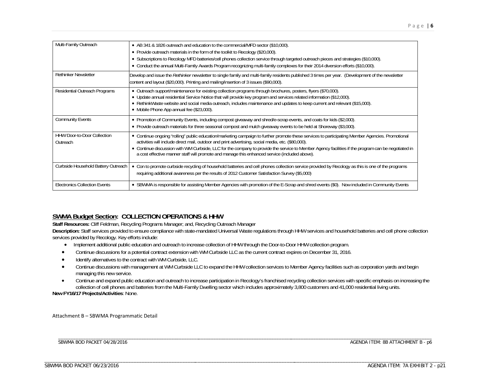| Multi-Family Outreach                          | • AB 341 & 1826 outreach and education to the commercial/MFD sector (\$10,000).<br>• Provide outreach materials in the form of the toolkit to Recology (\$20,000).<br>. Subscriptions to Recology MFD batteries/cell phones collection service through targeted outreach pieces and strategies (\$10,000).<br>• Conduct the annual Multi-Family Awards Program recognizing multi-family complexes for their 2014 diversion efforts (\$10,000).                                                                |
|------------------------------------------------|---------------------------------------------------------------------------------------------------------------------------------------------------------------------------------------------------------------------------------------------------------------------------------------------------------------------------------------------------------------------------------------------------------------------------------------------------------------------------------------------------------------|
| <b>Rethinker Newsletter</b>                    | Develop and issue the Rethinker newsletter to single family and multi-family residents published 3 times per year. (Development of the newsletter<br>content and layout (\$20,000). Printing and mailing/insertion of 3 issues (\$90,000).                                                                                                                                                                                                                                                                    |
| Residential Outreach Programs                  | • Outreach support/maintenance for existing collection programs through brochures, posters, flyers (\$70,000).<br>. Update annual residential Service Notice that will provide key program and services related information (\$12,000).<br>• RethinkWaste website and social media outreach, includes maintenance and updates to keep current and relevant (\$15,000).<br>• Mobile Phone App annual fee (\$23,000).                                                                                           |
| <b>Community Events</b>                        | • Promotion of Community Events, including compost giveaway and shred/e-scrap events, and coats for kids (\$2,000).<br>• Provide outreach materials for three seasonal compost and mulch giveaway events to be held at Shoreway (\$3,000).                                                                                                                                                                                                                                                                    |
| <b>HHW Door-to-Door Collection</b><br>Outreach | • Continue ongoing "rolling" public education/marketing campaign to further promote these services to participating Member Agencies. Promotional<br>activities will include direct mail, outdoor and print advertising, social media, etc. (\$80,000).<br>• Continue discussion with WM Curbside, LLC for the company to provide the service to Member Agency facilities if the program can be negotiated in<br>a cost effective manner staff will promote and manage this enhanced service (included above). |
| Curbside Household Battery Outreach            | • Con to promote curbside recycling of household batteries and cell phones collection service provided by Recology as this is one of the programs<br>requiring additional awareness per the results of 2012 Customer Satisfaction Survey (\$5,000)                                                                                                                                                                                                                                                            |
| <b>Electronics Collection Events</b>           | • SBWMA is responsible for assisting Member Agencies with promotion of the E-Scrap and shred events (\$0). Now included in Community Events                                                                                                                                                                                                                                                                                                                                                                   |

## **SWMA Budget Section: COLLECTION OPERATIONS & HHW**

**Staff Resources:** Cliff Feldman, Recycling Programs Manager; and, Recycling Outreach Manager

**Description:** Staff services provided to ensure compliance with state-mandated Universal Waste regulations through HHW services and household batteries and cell phone collection services provided by Recology. Key efforts include:

- Implement additional public education and outreach to increase collection of HHW through the Door-to-Door HHW collection program.
- $\bullet$ Continue discussions for a potential contract extension with WM Curbside LLC as the current contract expires on December 31, 2016.
- $\bullet$ Identify alternatives to the contract with WM Curbside, LLC.

\_\_\_\_\_\_\_\_\_\_\_\_\_\_\_\_\_\_\_\_\_\_\_\_\_\_\_\_\_\_\_\_\_\_\_\_\_\_\_\_\_\_\_\_\_\_\_\_\_\_\_\_\_\_\_\_

\_\_\_\_\_\_\_\_\_\_\_\_\_\_\_\_\_\_\_\_\_\_\_\_\_\_\_\_\_\_\_\_\_\_\_\_\_\_\_\_\_\_\_\_\_\_\_\_\_\_\_\_\_\_\_\_

- $\bullet$  Continue discussions with management at WM Curbside LLC to expand the HHW collection services to Member Agency facilities such as corporation yards and begin managing this new service.
- $\bullet$  Continue and expand public education and outreach to increase participation in Recology's franchised recycling collection services with specific emphasis on increasing the collection of cell phones and batteries from the Multi-Family Dwelling sector which includes approximately 3,800 customers and 41,000 residential living units.

**New FY16/17 Projects/Activities**: None.

Attachment B – SBWMA Programmatic Detail

SBWMA BOD PACKET 04/28/2016

AGENDA ITEM: 8B ATTACHMENT B - p6

\_\_\_\_\_\_\_\_\_\_\_\_\_\_\_\_\_\_\_\_\_\_\_\_\_\_\_\_\_\_\_\_\_\_\_\_\_ \_\_\_\_\_\_\_\_\_\_\_\_\_\_\_\_\_\_\_\_\_\_\_\_\_\_\_\_\_\_\_\_\_\_\_\_\_\_\_\_\_\_\_\_\_\_\_\_\_\_\_\_\_\_\_\_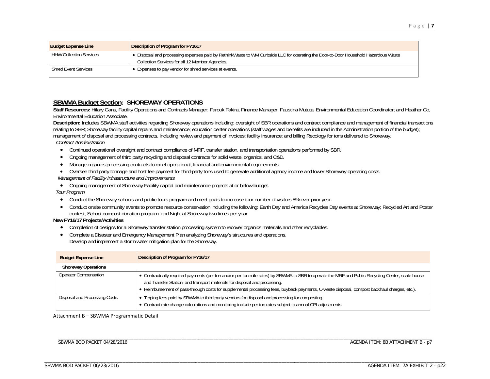| <b>Budget Expense Line</b>     | Description of Program for FY1617                                                                                                                                                      |
|--------------------------------|----------------------------------------------------------------------------------------------------------------------------------------------------------------------------------------|
| <b>HHW Collection Services</b> | • Disposal and processing expenses paid by RethinkWaste to WM Curbside LLC for operating the Door-to-Door Household Hazardous Waste<br>Collection Services for all 12 Member Agencies. |
| <b>Shred Event Services</b>    | • Expenses to pay vendor for shred services at events.                                                                                                                                 |

### **SBWMA Budget Section: SHOREWAY OPERATIONS**

Staff Resources: Hilary Gans, Facility Operations and Contracts Manager; Farouk Fakira, Finance Manager; Faustina Mututa, Environmental Education Coordinator; and Heather Co, Environmental Education Associate.

**Description:** Includes SBWMA staff activities regarding Shoreway operations including: oversight of SBR operations and contract compliance and management of financial transactions relating to SBR; Shoreway facility capital repairs and maintenance; education center operations (staff wages and benefits are included in the Administration portion of the budget); management of disposal and processing contracts, including review and payment of invoices; facility insurance; and billing Recology for tons delivered to Shoreway. *Contract Administration*

- Continued operational oversight and contract compliance of MRF, transfer station, and transportation operations performed by SBR.
- Ongoing management of third party recycling and disposal contracts for solid waste, organics, and C&D.
- Manage organics processing contracts to meet operational, financial and environmental requirements.
- Oversee third party tonnage and host fee payment for third-party tons used to generate additional agency income and lower Shoreway operating costs. *Management of Facility Infrastructure and Improvements*

 Ongoing management of Shoreway Facility capital and maintenance projects at or below budget. *Tour Program* 

- Conduct the Shoreway schools and public tours program and meet goals to increase tour number of visitors 5% over prior year.
- Conduct onsite community events to promote resource conservation including the following: Earth Day and America Recycles Day events at Shoreway; Recycled Art and Poster contest; School compost donation program; and Night at Shoreway two times per year.

#### **New FY16/17 Projects/Activities**

- Completion of designs for a Shoreway transfer station processing system to recover organics materials and other recyclables.
- Complete a Disaster and Emergency Management Plan analyzing Shoreway's structures and operations. Develop and implement a storm water mitigation plan for the Shoreway.

| <b>Budget Expense Line</b>    | Description of Program for FY16/17                                                                                                                                                                                                                                                                                                                                              |
|-------------------------------|---------------------------------------------------------------------------------------------------------------------------------------------------------------------------------------------------------------------------------------------------------------------------------------------------------------------------------------------------------------------------------|
| <b>Shoreway Operations</b>    |                                                                                                                                                                                                                                                                                                                                                                                 |
| <b>Operator Compensation</b>  | • Contractually required payments (per ton and/or per ton mile rates) by SBWMA to SBR to operate the MRF and Public Recycling Center, scale house<br>and Transfer Station, and transport materials for disposal and processing.<br>. Reimbursement of pass-through costs for supplemental processing fees, buyback payments, U-waste disposal, compost backhaul charges, etc.). |
| Disposal and Processing Costs | • Tipping fees paid by SBWMA to third party vendors for disposal and processing for composting.<br>• Contract rate change calculations and monitoring include per ton rates subject to annual CPI adjustments.                                                                                                                                                                  |

#### Attachment B – SBWMA Programmatic Detail

\_\_\_\_\_\_\_\_\_\_\_\_\_\_\_\_\_\_\_\_\_\_\_\_\_\_\_\_\_\_\_\_\_\_\_\_\_\_\_\_\_\_\_\_\_\_\_\_\_\_\_\_\_\_\_\_

\_\_\_\_\_\_\_\_\_\_\_\_\_\_\_\_\_\_\_\_\_\_\_\_\_\_\_\_\_\_\_\_\_\_\_\_\_\_\_\_\_\_\_\_\_\_\_\_\_\_\_\_\_\_\_\_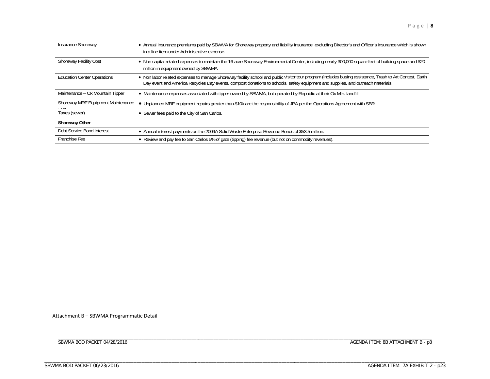| Insurance Shoreway                         | • Annual insurance premiums paid by SBWMA for Shoreway property and liability insurance, excluding Director's and Officer's insurance which is shown<br>in a line item under Administrative expense.                                                                                          |
|--------------------------------------------|-----------------------------------------------------------------------------------------------------------------------------------------------------------------------------------------------------------------------------------------------------------------------------------------------|
| <b>Shoreway Facility Cost</b>              | • Non capital related expenses to maintain the 16-acre Shoreway Environmental Center, including nearly 300,000 square feet of building space and \$20<br>million in equipment owned by SBWMA.                                                                                                 |
| <b>Education Center Operations</b>         | . Non labor related expenses to manage Shoreway facility school and public visitor tour program (includes busing assistance, Trash to Art Contest, Earth  <br>Day event and America Recycles Day events, compost donations to schools, safety equipment and supplies, and outreach materials. |
| Maintenance - Ox Mountain Tipper           | • Maintenance expenses associated with tipper owned by SBWMA, but operated by Republic at their Ox Mtn. landfill.                                                                                                                                                                             |
| Shoreway MRF Equipment Maintenance<br>101. | • Unplanned MRF equipment repairs greater than \$10k are the responsibility of JPA per the Operations Agreement with SBR.                                                                                                                                                                     |
| Taxes (sewer)                              | • Sewer fees paid to the City of San Carlos.                                                                                                                                                                                                                                                  |
| <b>Shoreway Other</b>                      |                                                                                                                                                                                                                                                                                               |
| Debt Service Bond Interest                 | • Annual interest payments on the 2009A Solid Waste Enterprise Revenue Bonds of \$53.5 million.                                                                                                                                                                                               |
| Franchise Fee                              | • Review and pay fee to San Carlos 5% of gate (tipping) fee revenue (but not on commodity revenues).                                                                                                                                                                                          |

Attachment B – SBWMA Programmatic Detail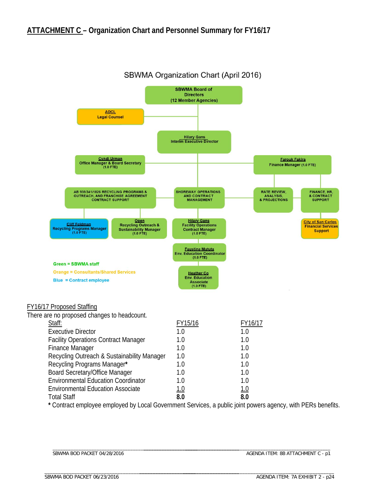

## SBWMA Organization Chart (April 2016)

**\*** Contract employee employed by Local Government Services, a public joint powers agency, with PERs benefits.

\_\_\_\_\_\_\_\_\_\_\_\_\_\_\_\_\_\_\_\_\_\_\_\_\_\_\_\_\_\_\_\_\_\_\_\_\_ \_\_\_\_\_\_\_\_\_\_\_\_\_\_\_\_\_\_\_\_\_\_\_\_\_\_\_\_\_\_\_\_\_\_\_\_\_\_\_\_\_\_\_\_\_\_\_\_\_\_\_\_\_\_\_\_

Total Staff **8.0 8.0**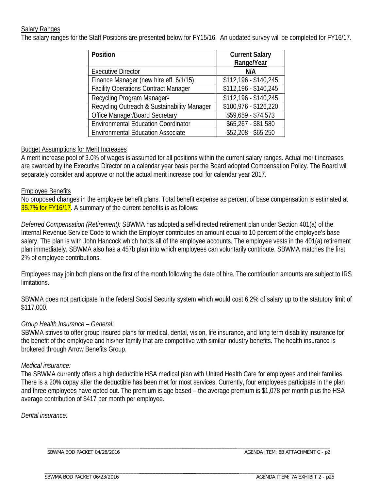### Salary Ranges

The salary ranges for the Staff Positions are presented below for FY15/16. An updated survey will be completed for FY16/17.

| Position                                    | <b>Current Salary</b> |
|---------------------------------------------|-----------------------|
|                                             | Range/Year            |
| <b>Executive Director</b>                   | N/A                   |
| Finance Manager (new hire eff. 6/1/15)      | \$112,196 - \$140,245 |
| <b>Facility Operations Contract Manager</b> | \$112,196 - \$140,245 |
| Recycling Program Manager <sup>1</sup>      | \$112,196 - \$140,245 |
| Recycling Outreach & Sustainability Manager | \$100,976 - \$126,220 |
| <b>Office Manager/Board Secretary</b>       | $$59,659 - $74,573$   |
| <b>Environmental Education Coordinator</b>  | $$65,267 - $81,580$   |
| <b>Environmental Education Associate</b>    | $$52,208 - $65,250$   |

### Budget Assumptions for Merit Increases

A merit increase pool of 3.0% of wages is assumed for all positions within the current salary ranges. Actual merit increases are awarded by the Executive Director on a calendar year basis per the Board adopted Compensation Policy. The Board will separately consider and approve or not the actual merit increase pool for calendar year 2017.

### Employee Benefits

No proposed changes in the employee benefit plans. Total benefit expense as percent of base compensation is estimated at 35.7% for FY16/17. A summary of the current benefits is as follows:

*Deferred Compensation (Retirement):* SBWMA has adopted a self-directed retirement plan under Section 401(a) of the Internal Revenue Service Code to which the Employer contributes an amount equal to 10 percent of the employee's base salary. The plan is with John Hancock which holds all of the employee accounts. The employee vests in the 401(a) retirement plan immediately. SBWMA also has a 457b plan into which employees can voluntarily contribute. SBWMA matches the first 2% of employee contributions.

Employees may join both plans on the first of the month following the date of hire. The contribution amounts are subject to IRS limitations.

SBWMA does not participate in the federal Social Security system which would cost 6.2% of salary up to the statutory limit of \$117,000.

### *Group Health Insurance – General:*

SBWMA strives to offer group insured plans for medical, dental, vision, life insurance, and long term disability insurance for the benefit of the employee and his/her family that are competitive with similar industry benefits. The health insurance is brokered through Arrow Benefits Group.

### *Medical insurance:*

The SBWMA currently offers a high deductible HSA medical plan with United Health Care for employees and their families. There is a 20% copay after the deductible has been met for most services. Currently, four employees participate in the plan and three employees have opted out. The premium is age based – the average premium is \$1,078 per month plus the HSA average contribution of \$417 per month per employee.

*Dental insurance:* 

\_\_\_\_\_\_\_\_\_\_\_\_\_\_\_\_\_\_\_\_\_\_\_\_\_\_\_\_\_\_\_\_\_\_\_\_\_\_\_\_\_\_\_\_\_\_\_\_\_\_\_\_\_\_\_\_ SBWMA BOD PACKET 04/28/2016

\_\_\_\_\_\_\_\_\_\_\_\_\_\_\_\_\_\_\_\_\_\_\_\_\_\_\_\_\_\_\_\_\_\_\_\_\_\_\_\_\_\_\_\_\_\_\_\_\_\_\_\_\_\_\_\_

\_\_\_\_\_\_\_\_\_\_\_\_\_\_\_\_\_\_\_\_\_\_\_\_\_\_\_\_\_\_\_\_\_\_\_\_\_ \_\_\_\_\_\_\_\_\_\_\_\_\_\_\_\_\_\_\_\_\_\_\_\_\_\_\_\_\_\_\_\_\_\_\_\_\_\_\_\_\_\_\_\_\_\_\_\_\_\_\_\_\_\_\_\_ AGENDA ITEM: 8B ATTACHMENT C - p2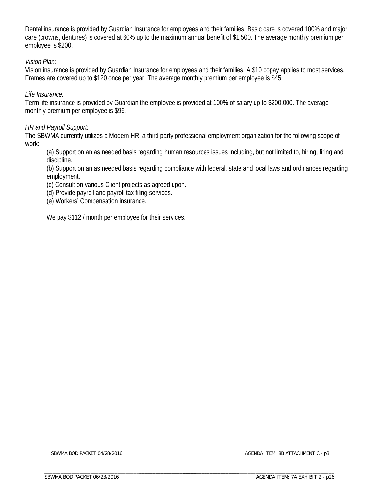Dental insurance is provided by Guardian Insurance for employees and their families. Basic care is covered 100% and major care (crowns, dentures) is covered at 60% up to the maximum annual benefit of \$1,500. The average monthly premium per employee is \$200.

### *Vision Plan:*

Vision insurance is provided by Guardian Insurance for employees and their families. A \$10 copay applies to most services. Frames are covered up to \$120 once per year. The average monthly premium per employee is \$45.

### *Life Insurance:*

Term life insurance is provided by Guardian the employee is provided at 100% of salary up to \$200,000. The average monthly premium per employee is \$96.

### *HR and Payroll Support:*

The SBWMA currently utilizes a Modern HR, a third party professional employment organization for the following scope of work:

(a) Support on an as needed basis regarding human resources issues including, but not limited to, hiring, firing and discipline.

(b) Support on an as needed basis regarding compliance with federal, state and local laws and ordinances regarding employment.

(c) Consult on various Client projects as agreed upon.

- (d) Provide payroll and payroll tax filing services.
- (e) Workers' Compensation insurance.

We pay \$112 / month per employee for their services.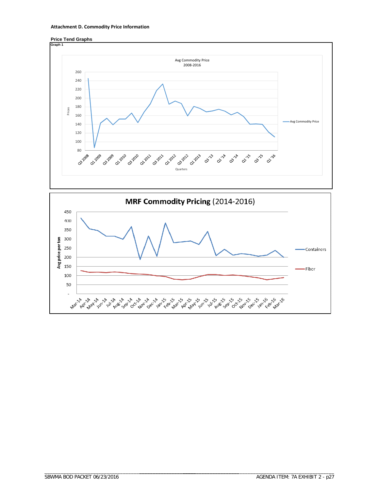





\_\_\_\_\_\_\_\_\_\_\_\_\_\_\_\_\_\_\_\_\_\_\_\_\_\_\_\_\_\_\_\_\_\_\_\_\_\_\_\_\_\_\_\_\_\_\_\_\_\_\_\_\_\_\_\_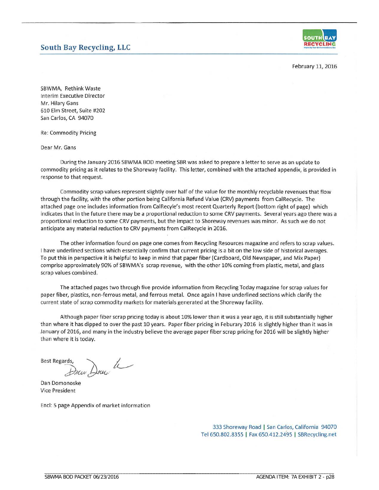## **South Bay Recycling, LLC**



February 11, 2016

SBWMA, Rethink Waste **Interim Executive Director** Mr. Hilary Gans 610 Elm Street, Suite #202 San Carlos, CA 94070

**Re: Commodity Pricing** 

Dear Mr. Gans

During the January 2016 SBWMA BOD meeting SBR was asked to prepare a letter to serve as an update to commodity pricing as it relates to the Shoreway facility. This letter, combined with the attached appendix, is provided in response to that request.

Commodity scrap values represent slightly over half of the value for the monthly recyclable revenues that flow through the facility, with the other portion being California Refund Value (CRV) payments from CalRecycle. The attached page one includes information from CalRecyle's most recent Quarterly Report (bottom right of page) which indicates that in the future there may be a proportional reduction to some CRV payments. Several years ago there was a proportional reduction to some CRV payments, but the impact to Shoreway revenues was minor. As such we do not anticipate any material reduction to CRV payments from CalRecycle in 2016.

The other information found on page one comes from Recycling Resources magazine and refers to scrap values. I have underlined sections which essentially confirm that current pricing is a bit on the low side of historical averages. To put this in perspective it is helpful to keep in mind that paper fiber (Cardboard, Old Newspaper, and Mix Paper) comprise approximately 90% of SBWMA's scrap revenue, with the other 10% coming from plastic, metal, and glass scrap values combined.

The attached pages two through five provide information from Recycling Today magazine for scrap values for paper fiber, plastics, non-ferrous metal, and ferrous metal. Once again I have underlined sections which clarify the current state of scrap commodity markets for materials generated at the Shoreway facility.

Although paper fiber scrap pricing today is about 10% lower than it was a year ago, it is still substantially higher than where it has dipped to over the past 10 years. Paper fiber pricing in Feburary 2016 is slightly higher than it was in January of 2016, and many in the industry believe the average paper fiber scrap pricing for 2016 will be slightly higher than where it is today.

**Best Regards,** 

Down Drug h

Dan Domonoske **Vice President** 

Encl: 5 page Appendix of market information

333 Shoreway Road | San Carlos, California 94070 Tel 650.802.8355 | Fax 650.412.2495 | SBRecycling.net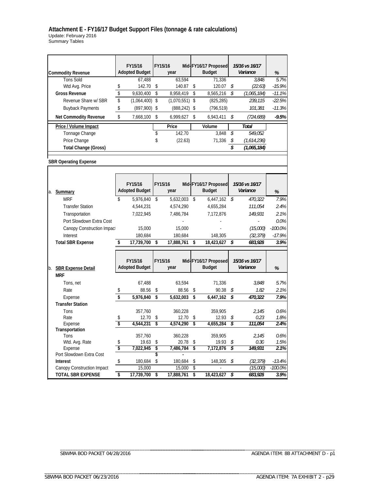#### **Attachment E - FY16/17 Budget Support Files (tonnage & rate calculations)** Update: February 2016 Summary Tables

|                              |                   | FY15/16                          | FY15/16           |          | Mid-FY16/17 Proposed                  |          | 15/16 vs 16/17             |           |
|------------------------------|-------------------|----------------------------------|-------------------|----------|---------------------------------------|----------|----------------------------|-----------|
| <b>Commodity Revenue</b>     |                   | <b>Adopted Budget</b>            | year              |          | <b>Budget</b>                         |          | Variance                   | $\%$      |
| <b>Tons Sold</b>             |                   | 67.488                           | 63,594            |          | 71,336                                |          | 3.848                      | 5.7%      |
| Wtd Avg. Price               | \$                | 142.70                           | \$<br>140.87      | \$       | 120.07                                | \$       | (22.63)                    | $-15.9%$  |
| <b>Gross Revenue</b>         | \$                | 9,630,400                        | \$<br>8,958,419   | \$       | 8,565,216                             | \$       | (1,065,184)                | $-11.1%$  |
| Revenue Share w/ SBR         | \$                | (1,064,400)                      | \$<br>(1,070,551) | \$       | (825, 285)                            |          | 239,115                    | $-22.5%$  |
| <b>Buyback Payments</b>      | \$                | (897,900)                        | \$<br>(888, 242)  | \$       | (796, 519)                            |          | 101,381                    | $-11.3%$  |
| Net Commodity Revenue        | \$                | 7,668,100                        | \$<br>6,999,627   | \$       | 6,943,411                             | \$       | (724,689)                  | $-9.5%$   |
| Price / Volume Impact        |                   |                                  | Price             |          | Volume                                |          | <b>Total</b>               |           |
| Tonnage Change               |                   |                                  | \$<br>142.70      |          | 3,848                                 | \$       | 549,052                    |           |
| Price Change                 |                   |                                  | \$<br>(22.63)     |          | 71,336                                | \$       | (1,614,236)                |           |
| <b>Total Change (Gross)</b>  |                   |                                  |                   |          |                                       | \$       | (1,065,184)                |           |
|                              |                   |                                  |                   |          |                                       |          |                            |           |
| <b>SBR Operating Expense</b> |                   |                                  |                   |          |                                       |          |                            |           |
|                              |                   |                                  |                   |          |                                       |          |                            |           |
|                              |                   | FY15/16                          | FY15/16           |          | Mid-FY16/17 Proposed                  |          | 15/16 vs 16/17             |           |
|                              |                   | <b>Adopted Budget</b>            | year              |          | <b>Budget</b>                         |          | Variance                   |           |
| a. <b>Summary</b>            |                   |                                  |                   |          |                                       |          |                            | $\%$      |
| <b>MRF</b>                   | \$                | 5,976,840                        | \$<br>5,632,003   | \$       | 6,447,162                             | \$       | 470,322                    | 7.9%      |
| <b>Transfer Station</b>      |                   | 4,544,231                        | 4,574,290         |          | 4,655,284                             |          | 111,054                    | 2.4%      |
| Transportation               |                   | 7,022,945                        | 7,486,784         |          | 7,172,876                             |          | 149,931                    | 2.1%      |
| Port Slowdown Extra Cost     |                   |                                  |                   |          |                                       |          |                            | 0.0%      |
| Canopy Construction Impact   |                   | 15,000                           | 15,000            |          |                                       |          | (15,000)                   | $-100.0%$ |
| Interest                     |                   | 180,684                          | 180,684           |          | 148,305                               |          | (32, 379)                  | $-17.9%$  |
| <b>Total SBR Expense</b>     | \$                | 17,739,700                       | \$<br>17,888,761  | \$       | 18,423,627                            | \$       | 683,928                    | 3.9%      |
|                              |                   |                                  |                   |          |                                       |          |                            |           |
| b. SBR Expense Detail        |                   | FY15/16<br><b>Adopted Budget</b> | FY15/16<br>year   |          | Mid-FY16/17 Proposed<br><b>Budget</b> |          | 15/16 vs 16/17<br>Variance | %         |
| <b>MRF</b>                   |                   |                                  |                   |          |                                       |          |                            |           |
| Tons, net                    |                   | 67,488                           | 63,594            |          | 71,336                                |          | 3.848                      | 5.7%      |
| Rate                         | \$                | 88.56                            | \$<br>88.56       | \$       | 90.38                                 | \$       | 1.82                       | 2.1%      |
| Expense                      | \$                | 5,976,840                        | \$<br>5,632,003   | \$       | 6,447,162                             | \$       | 470,322                    | 7.9%      |
| <b>Transfer Station</b>      |                   |                                  |                   |          |                                       |          |                            |           |
| Tons                         |                   | 357,760                          | 360,228           |          | 359,905                               |          | 2.145                      | 0.6%      |
| Rate                         | \$                | 12.70                            | \$<br>12.70       | \$<br>\$ | 12.93                                 | \$<br>\$ | 0.23                       | 1.8%      |
| Expense<br>Transportation    | \$                | 4,544,231                        | \$<br>4,574,290   |          | 4,655,284                             |          | 111,054                    | 2.4%      |
| Tons                         |                   | 357,760                          | 360,228           |          | 359,905                               |          | 2,145                      | 0.6%      |
| Wtd. Avg. Rate               | \$                | 19.63                            | \$<br>20.78       | \$       | 19.93                                 | \$       | 0.30                       | 1.5%      |
| Expense                      | \$                | 7,022,945                        | \$<br>7,486,784   | \$       | 7,172,876                             | \$       | 149,931                    | 2.1%      |
| Port Slowdown Extra Cost     |                   |                                  | \$                |          |                                       |          |                            |           |
| <b>Interest</b>              | $\boldsymbol{\$}$ | 180,684                          | \$<br>180,684     | \$       | 148,305                               | \$       | (32, 379)                  | $-13.4%$  |
| Canopy Construction Impact   |                   | 15,000                           | 15,000            | \$       |                                       |          | (15,000)                   | $-100.0%$ |
| <b>TOTAL SBR EXPENSE</b>     | \$                | 17,739,700                       | \$<br>17,888,761  | \$       | 18,423,627                            | \$       | 683,928                    | 3.9%      |

SBWMA BOD PACKET 04/28/2016

\_\_\_\_\_\_\_\_\_\_\_\_\_\_\_\_\_\_\_\_\_\_\_\_\_\_\_\_\_\_\_\_\_\_\_\_\_\_\_\_\_\_\_\_\_\_\_\_\_\_\_\_\_\_\_\_

\_\_\_\_\_\_\_\_\_\_\_\_\_\_\_\_\_\_\_\_\_\_\_\_\_\_\_\_\_\_\_\_\_\_\_\_\_\_\_\_\_\_\_\_\_\_\_\_\_\_\_\_\_\_\_\_

\_\_\_\_\_\_\_\_\_\_\_\_\_\_\_\_\_\_\_\_\_\_\_\_\_\_\_\_\_\_\_\_\_\_\_\_\_ \_\_\_\_\_\_\_\_\_\_\_\_\_\_\_\_\_\_\_\_\_\_\_\_\_\_\_\_\_\_\_\_\_\_\_\_\_\_\_\_\_\_\_\_\_\_\_\_\_\_\_\_\_\_\_\_